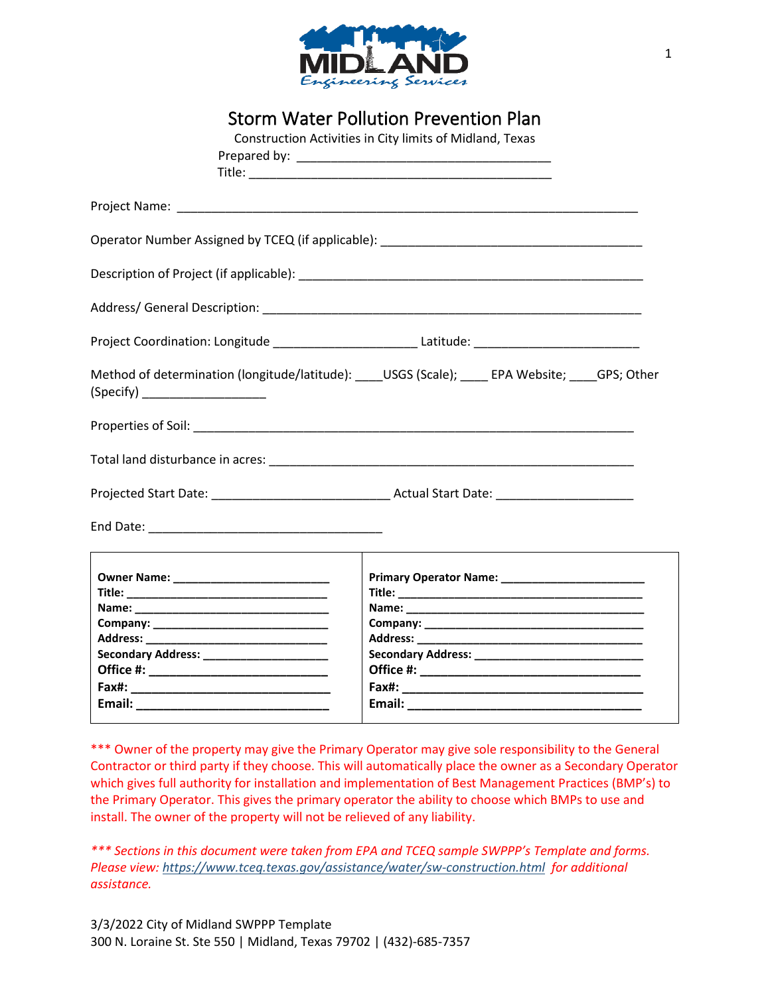

| <b>Storm Water Pollution Prevention Plan</b> |  |
|----------------------------------------------|--|
|----------------------------------------------|--|

|                                           | Construction Activities in City limits of Midland, Texas                                            |
|-------------------------------------------|-----------------------------------------------------------------------------------------------------|
|                                           |                                                                                                     |
|                                           |                                                                                                     |
|                                           |                                                                                                     |
|                                           |                                                                                                     |
|                                           |                                                                                                     |
|                                           | Project Coordination: Longitude __________________________Latitude: _______________________________ |
| (Specify) _______________________         | Method of determination (longitude/latitude): USGS (Scale); FPA Website; GPS; Other                 |
|                                           |                                                                                                     |
|                                           |                                                                                                     |
|                                           |                                                                                                     |
|                                           |                                                                                                     |
| Secondary Address: ______________________ |                                                                                                     |
|                                           |                                                                                                     |

\*\*\* Owner of the property may give the Primary Operator may give sole responsibility to the General Contractor or third party if they choose. This will automatically place the owner as a Secondary Operator which gives full authority for installation and implementation of Best Management Practices (BMP's) to the Primary Operator. This gives the primary operator the ability to choose which BMPs to use and install. The owner of the property will not be relieved of any liability.

*\*\*\* Sections in this document were taken from EPA and TCEQ sample SWPPP's Template and forms. Please view:<https://www.tceq.texas.gov/assistance/water/sw-construction.html>for additional assistance.*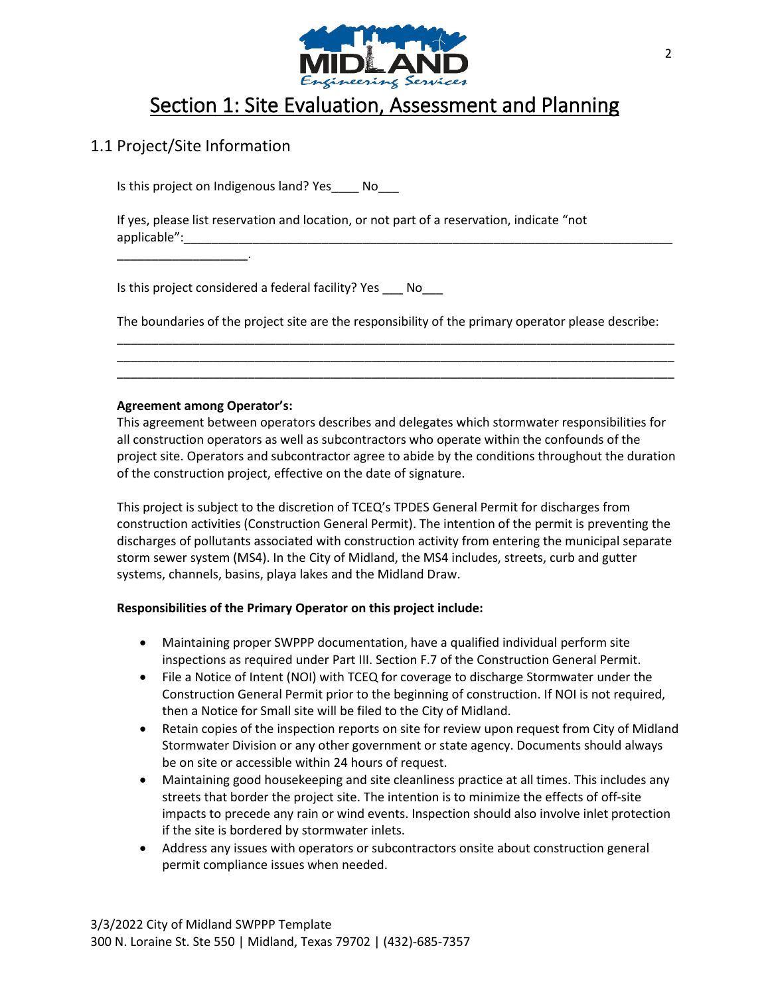

## Section 1: Site Evaluation, Assessment and Planning

### 1.1 Project/Site Information

\_\_\_\_\_\_\_\_\_\_\_\_\_\_\_\_\_\_\_.

Is this project on Indigenous land? Yes\_\_\_\_ No\_\_\_

If yes, please list reservation and location, or not part of a reservation, indicate "not applicable":

Is this project considered a federal facility? Yes \_\_\_\_ No

The boundaries of the project site are the responsibility of the primary operator please describe: \_\_\_\_\_\_\_\_\_\_\_\_\_\_\_\_\_\_\_\_\_\_\_\_\_\_\_\_\_\_\_\_\_\_\_\_\_\_\_\_\_\_\_\_\_\_\_\_\_\_\_\_\_\_\_\_\_\_\_\_\_\_\_\_\_\_\_\_\_\_\_\_\_\_\_\_\_\_\_\_\_

\_\_\_\_\_\_\_\_\_\_\_\_\_\_\_\_\_\_\_\_\_\_\_\_\_\_\_\_\_\_\_\_\_\_\_\_\_\_\_\_\_\_\_\_\_\_\_\_\_\_\_\_\_\_\_\_\_\_\_\_\_\_\_\_\_\_\_\_\_\_\_\_\_\_\_\_\_\_\_\_\_ \_\_\_\_\_\_\_\_\_\_\_\_\_\_\_\_\_\_\_\_\_\_\_\_\_\_\_\_\_\_\_\_\_\_\_\_\_\_\_\_\_\_\_\_\_\_\_\_\_\_\_\_\_\_\_\_\_\_\_\_\_\_\_\_\_\_\_\_\_\_\_\_\_\_\_\_\_\_\_\_\_

#### **Agreement among Operator's:**

This agreement between operators describes and delegates which stormwater responsibilities for all construction operators as well as subcontractors who operate within the confounds of the project site. Operators and subcontractor agree to abide by the conditions throughout the duration of the construction project, effective on the date of signature.

This project is subject to the discretion of TCEQ's TPDES General Permit for discharges from construction activities (Construction General Permit). The intention of the permit is preventing the discharges of pollutants associated with construction activity from entering the municipal separate storm sewer system (MS4). In the City of Midland, the MS4 includes, streets, curb and gutter systems, channels, basins, playa lakes and the Midland Draw.

#### **Responsibilities of the Primary Operator on this project include:**

- Maintaining proper SWPPP documentation, have a qualified individual perform site inspections as required under Part III. Section F.7 of the Construction General Permit.
- File a Notice of Intent (NOI) with TCEQ for coverage to discharge Stormwater under the Construction General Permit prior to the beginning of construction. If NOI is not required, then a Notice for Small site will be filed to the City of Midland.
- Retain copies of the inspection reports on site for review upon request from City of Midland Stormwater Division or any other government or state agency. Documents should always be on site or accessible within 24 hours of request.
- Maintaining good housekeeping and site cleanliness practice at all times. This includes any streets that border the project site. The intention is to minimize the effects of off-site impacts to precede any rain or wind events. Inspection should also involve inlet protection if the site is bordered by stormwater inlets.
- Address any issues with operators or subcontractors onsite about construction general permit compliance issues when needed.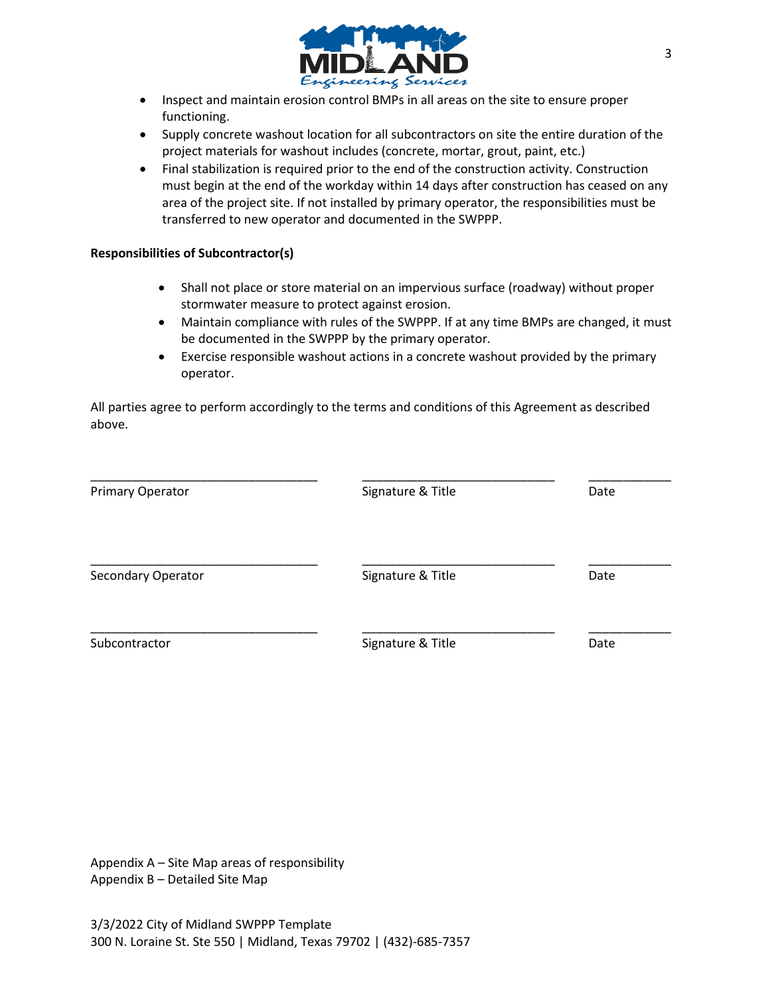

- Inspect and maintain erosion control BMPs in all areas on the site to ensure proper functioning.
- Supply concrete washout location for all subcontractors on site the entire duration of the project materials for washout includes (concrete, mortar, grout, paint, etc.)
- Final stabilization is required prior to the end of the construction activity. Construction must begin at the end of the workday within 14 days after construction has ceased on any area of the project site. If not installed by primary operator, the responsibilities must be transferred to new operator and documented in the SWPPP.

#### **Responsibilities of Subcontractor(s)**

- Shall not place or store material on an impervious surface (roadway) without proper stormwater measure to protect against erosion.
- Maintain compliance with rules of the SWPPP. If at any time BMPs are changed, it must be documented in the SWPPP by the primary operator.
- Exercise responsible washout actions in a concrete washout provided by the primary operator.

All parties agree to perform accordingly to the terms and conditions of this Agreement as described above.

| Primary Operator   | Signature & Title | Date |
|--------------------|-------------------|------|
| Secondary Operator | Signature & Title | Date |
| Subcontractor      | Signature & Title | Date |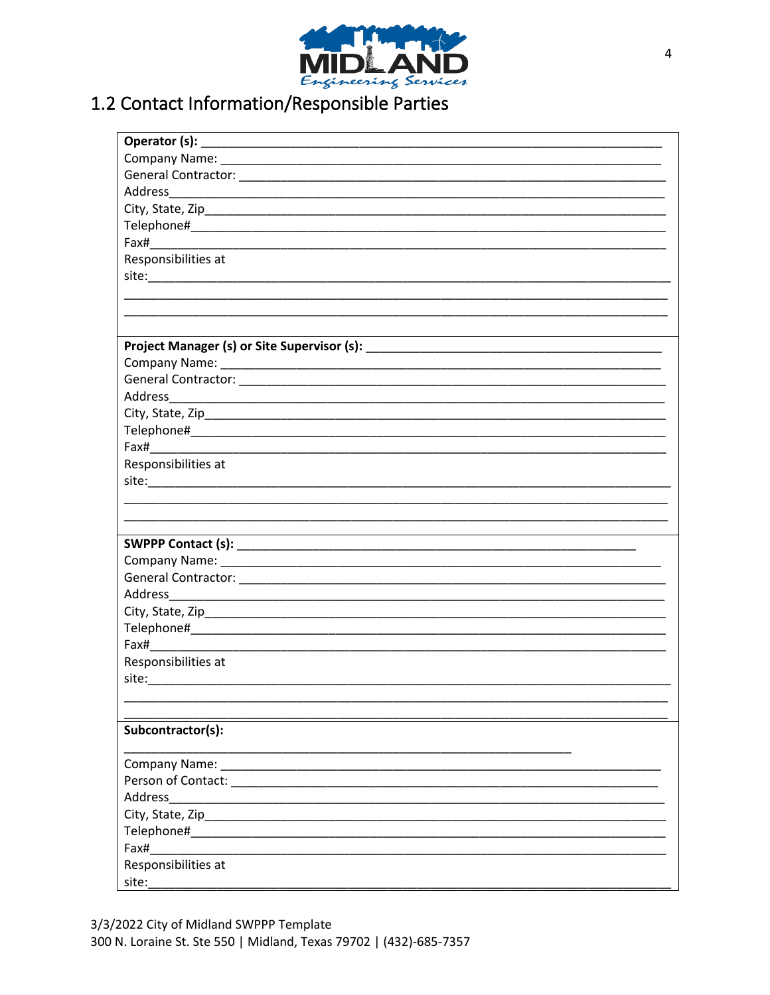

# 1.2 Contact Information/Responsible Parties

| Responsibilities at                                                                                                                                                                                                            |
|--------------------------------------------------------------------------------------------------------------------------------------------------------------------------------------------------------------------------------|
|                                                                                                                                                                                                                                |
|                                                                                                                                                                                                                                |
|                                                                                                                                                                                                                                |
|                                                                                                                                                                                                                                |
|                                                                                                                                                                                                                                |
|                                                                                                                                                                                                                                |
|                                                                                                                                                                                                                                |
|                                                                                                                                                                                                                                |
|                                                                                                                                                                                                                                |
|                                                                                                                                                                                                                                |
|                                                                                                                                                                                                                                |
| Responsibilities at                                                                                                                                                                                                            |
|                                                                                                                                                                                                                                |
|                                                                                                                                                                                                                                |
|                                                                                                                                                                                                                                |
|                                                                                                                                                                                                                                |
|                                                                                                                                                                                                                                |
|                                                                                                                                                                                                                                |
|                                                                                                                                                                                                                                |
|                                                                                                                                                                                                                                |
|                                                                                                                                                                                                                                |
|                                                                                                                                                                                                                                |
|                                                                                                                                                                                                                                |
| Responsibilities at                                                                                                                                                                                                            |
|                                                                                                                                                                                                                                |
|                                                                                                                                                                                                                                |
|                                                                                                                                                                                                                                |
| Subcontractor(s):                                                                                                                                                                                                              |
|                                                                                                                                                                                                                                |
|                                                                                                                                                                                                                                |
|                                                                                                                                                                                                                                |
|                                                                                                                                                                                                                                |
|                                                                                                                                                                                                                                |
| Telephone# and a state of the state of the state of the state of the state of the state of the state of the state of the state of the state of the state of the state of the state of the state of the state of the state of t |
| Fax#                                                                                                                                                                                                                           |
| Responsibilities at                                                                                                                                                                                                            |
| site:                                                                                                                                                                                                                          |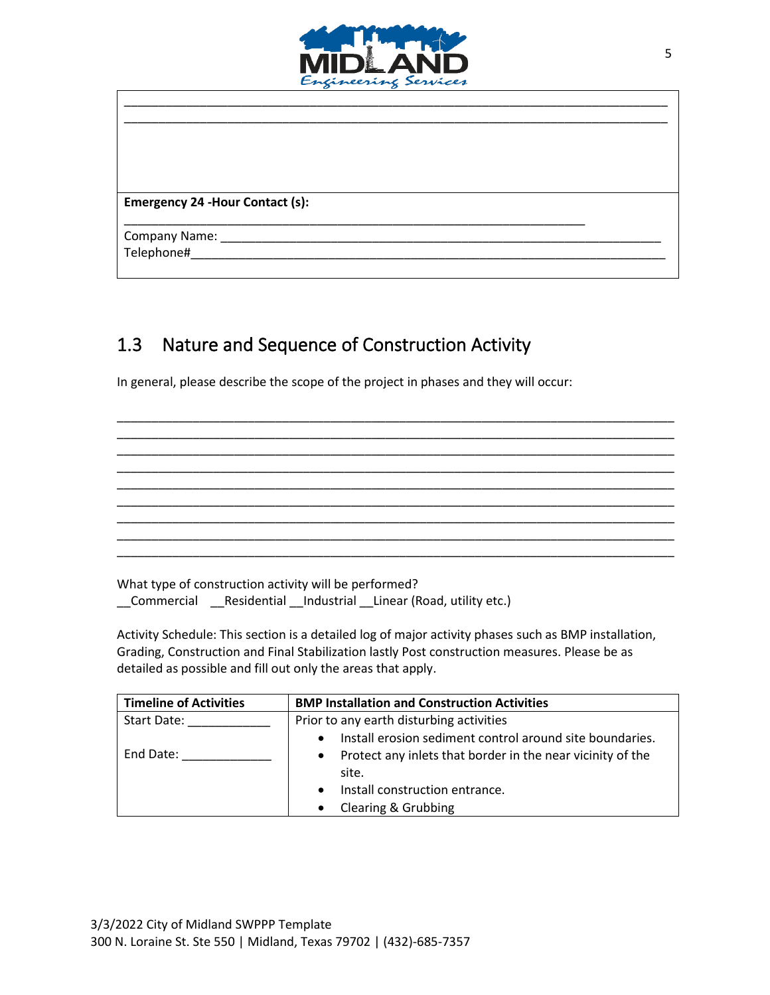

\_\_\_\_\_\_\_\_\_\_\_\_\_\_\_\_\_\_\_\_\_\_\_\_\_\_\_\_\_\_\_\_\_\_\_\_\_\_\_\_\_\_\_\_\_\_\_\_\_\_\_\_\_\_\_\_\_\_\_\_\_\_\_\_\_\_\_

\_\_\_\_\_\_\_\_\_\_\_\_\_\_\_\_\_\_\_\_\_\_\_\_\_\_\_\_\_\_\_\_\_\_\_\_\_\_\_\_\_\_\_\_\_\_\_\_\_\_\_\_\_\_\_\_\_\_\_\_\_\_\_\_\_\_\_\_\_\_\_\_\_\_\_\_\_\_\_ \_\_\_\_\_\_\_\_\_\_\_\_\_\_\_\_\_\_\_\_\_\_\_\_\_\_\_\_\_\_\_\_\_\_\_\_\_\_\_\_\_\_\_\_\_\_\_\_\_\_\_\_\_\_\_\_\_\_\_\_\_\_\_\_\_\_\_\_\_\_\_\_\_\_\_\_\_\_\_

**Emergency 24 -Hour Contact (s):**

Company Name: \_\_\_\_\_\_\_\_\_\_\_\_\_\_\_\_\_\_\_\_\_\_\_\_\_\_\_\_\_\_\_\_\_\_\_\_\_\_\_\_\_\_\_\_\_\_\_\_\_\_\_\_\_\_\_\_\_\_\_\_\_\_\_\_

Telephone#\_\_\_\_\_\_\_\_\_\_\_\_\_\_\_\_\_\_\_\_\_\_\_\_\_\_\_\_\_\_\_\_\_\_\_\_\_\_\_\_\_\_\_\_\_\_\_\_\_\_\_\_\_\_\_\_\_\_\_\_\_\_\_\_\_\_\_\_\_

### 1.3 Nature and Sequence of Construction Activity

In general, please describe the scope of the project in phases and they will occur:

What type of construction activity will be performed? \_\_Commercial \_\_Residential \_\_Industrial \_\_Linear (Road, utility etc.)

Activity Schedule: This section is a detailed log of major activity phases such as BMP installation, Grading, Construction and Final Stabilization lastly Post construction measures. Please be as detailed as possible and fill out only the areas that apply.

\_\_\_\_\_\_\_\_\_\_\_\_\_\_\_\_\_\_\_\_\_\_\_\_\_\_\_\_\_\_\_\_\_\_\_\_\_\_\_\_\_\_\_\_\_\_\_\_\_\_\_\_\_\_\_\_\_\_\_\_\_\_\_\_\_\_\_\_\_\_\_\_\_\_\_\_\_\_\_\_\_ \_\_\_\_\_\_\_\_\_\_\_\_\_\_\_\_\_\_\_\_\_\_\_\_\_\_\_\_\_\_\_\_\_\_\_\_\_\_\_\_\_\_\_\_\_\_\_\_\_\_\_\_\_\_\_\_\_\_\_\_\_\_\_\_\_\_\_\_\_\_\_\_\_\_\_\_\_\_\_\_\_ \_\_\_\_\_\_\_\_\_\_\_\_\_\_\_\_\_\_\_\_\_\_\_\_\_\_\_\_\_\_\_\_\_\_\_\_\_\_\_\_\_\_\_\_\_\_\_\_\_\_\_\_\_\_\_\_\_\_\_\_\_\_\_\_\_\_\_\_\_\_\_\_\_\_\_\_\_\_\_\_\_ \_\_\_\_\_\_\_\_\_\_\_\_\_\_\_\_\_\_\_\_\_\_\_\_\_\_\_\_\_\_\_\_\_\_\_\_\_\_\_\_\_\_\_\_\_\_\_\_\_\_\_\_\_\_\_\_\_\_\_\_\_\_\_\_\_\_\_\_\_\_\_\_\_\_\_\_\_\_\_\_\_ \_\_\_\_\_\_\_\_\_\_\_\_\_\_\_\_\_\_\_\_\_\_\_\_\_\_\_\_\_\_\_\_\_\_\_\_\_\_\_\_\_\_\_\_\_\_\_\_\_\_\_\_\_\_\_\_\_\_\_\_\_\_\_\_\_\_\_\_\_\_\_\_\_\_\_\_\_\_\_\_\_ \_\_\_\_\_\_\_\_\_\_\_\_\_\_\_\_\_\_\_\_\_\_\_\_\_\_\_\_\_\_\_\_\_\_\_\_\_\_\_\_\_\_\_\_\_\_\_\_\_\_\_\_\_\_\_\_\_\_\_\_\_\_\_\_\_\_\_\_\_\_\_\_\_\_\_\_\_\_\_\_\_ \_\_\_\_\_\_\_\_\_\_\_\_\_\_\_\_\_\_\_\_\_\_\_\_\_\_\_\_\_\_\_\_\_\_\_\_\_\_\_\_\_\_\_\_\_\_\_\_\_\_\_\_\_\_\_\_\_\_\_\_\_\_\_\_\_\_\_\_\_\_\_\_\_\_\_\_\_\_\_\_\_ \_\_\_\_\_\_\_\_\_\_\_\_\_\_\_\_\_\_\_\_\_\_\_\_\_\_\_\_\_\_\_\_\_\_\_\_\_\_\_\_\_\_\_\_\_\_\_\_\_\_\_\_\_\_\_\_\_\_\_\_\_\_\_\_\_\_\_\_\_\_\_\_\_\_\_\_\_\_\_\_\_ \_\_\_\_\_\_\_\_\_\_\_\_\_\_\_\_\_\_\_\_\_\_\_\_\_\_\_\_\_\_\_\_\_\_\_\_\_\_\_\_\_\_\_\_\_\_\_\_\_\_\_\_\_\_\_\_\_\_\_\_\_\_\_\_\_\_\_\_\_\_\_\_\_\_\_\_\_\_\_\_\_

| <b>Timeline of Activities</b> | <b>BMP Installation and Construction Activities</b>        |  |
|-------------------------------|------------------------------------------------------------|--|
| Start Date:                   | Prior to any earth disturbing activities                   |  |
|                               | Install erosion sediment control around site boundaries.   |  |
| End Date:                     | Protect any inlets that border in the near vicinity of the |  |
|                               | site.                                                      |  |
|                               | Install construction entrance.                             |  |
|                               | Clearing & Grubbing                                        |  |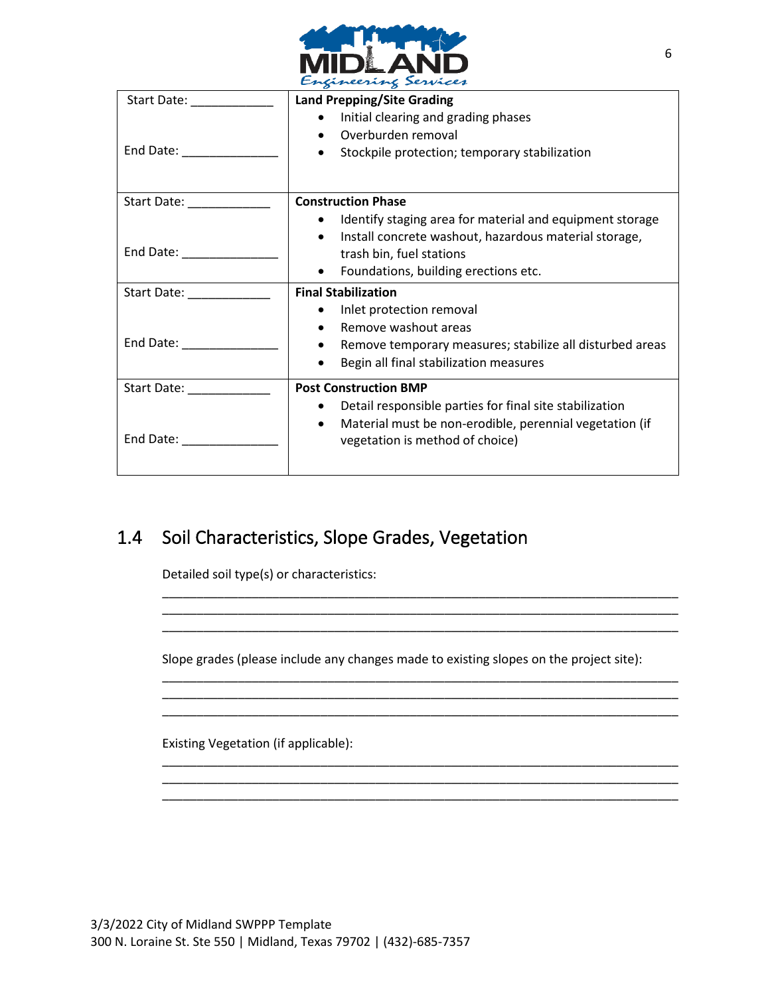

| $\sim$                                                                                                                                                                                                                        |                                                                                       |  |
|-------------------------------------------------------------------------------------------------------------------------------------------------------------------------------------------------------------------------------|---------------------------------------------------------------------------------------|--|
| Start Date: ____________                                                                                                                                                                                                      | <b>Land Prepping/Site Grading</b><br>Initial clearing and grading phases<br>$\bullet$ |  |
|                                                                                                                                                                                                                               | Overburden removal                                                                    |  |
|                                                                                                                                                                                                                               | Stockpile protection; temporary stabilization<br>$\bullet$                            |  |
|                                                                                                                                                                                                                               | <b>Construction Phase</b>                                                             |  |
|                                                                                                                                                                                                                               | Identify staging area for material and equipment storage                              |  |
|                                                                                                                                                                                                                               | Install concrete washout, hazardous material storage,                                 |  |
|                                                                                                                                                                                                                               | trash bin, fuel stations                                                              |  |
|                                                                                                                                                                                                                               | Foundations, building erections etc.<br>$\bullet$                                     |  |
| Start Date: Start Date:                                                                                                                                                                                                       | <b>Final Stabilization</b>                                                            |  |
|                                                                                                                                                                                                                               | Inlet protection removal                                                              |  |
|                                                                                                                                                                                                                               | Remove washout areas<br>$\bullet$                                                     |  |
|                                                                                                                                                                                                                               | Remove temporary measures; stabilize all disturbed areas<br>$\bullet$                 |  |
|                                                                                                                                                                                                                               | Begin all final stabilization measures                                                |  |
| Start Date: <u>contract of</u>                                                                                                                                                                                                | <b>Post Construction BMP</b>                                                          |  |
|                                                                                                                                                                                                                               | Detail responsible parties for final site stabilization<br>$\bullet$                  |  |
|                                                                                                                                                                                                                               | Material must be non-erodible, perennial vegetation (if<br>$\bullet$                  |  |
| End Date: The Contract of the Contract of the Contract of the Contract of the Contract of the Contract of the Contract of the Contract of the Contract of the Contract of the Contract of the Contract of the Contract of the | vegetation is method of choice)                                                       |  |
|                                                                                                                                                                                                                               |                                                                                       |  |
|                                                                                                                                                                                                                               |                                                                                       |  |

### 1.4 Soil Characteristics, Slope Grades, Vegetation

Detailed soil type(s) or characteristics:

Slope grades (please include any changes made to existing slopes on the project site):

\_\_\_\_\_\_\_\_\_\_\_\_\_\_\_\_\_\_\_\_\_\_\_\_\_\_\_\_\_\_\_\_\_\_\_\_\_\_\_\_\_\_\_\_\_\_\_\_\_\_\_\_\_\_\_\_\_\_\_\_\_\_\_\_\_\_\_\_\_\_\_\_\_\_\_ \_\_\_\_\_\_\_\_\_\_\_\_\_\_\_\_\_\_\_\_\_\_\_\_\_\_\_\_\_\_\_\_\_\_\_\_\_\_\_\_\_\_\_\_\_\_\_\_\_\_\_\_\_\_\_\_\_\_\_\_\_\_\_\_\_\_\_\_\_\_\_\_\_\_\_ \_\_\_\_\_\_\_\_\_\_\_\_\_\_\_\_\_\_\_\_\_\_\_\_\_\_\_\_\_\_\_\_\_\_\_\_\_\_\_\_\_\_\_\_\_\_\_\_\_\_\_\_\_\_\_\_\_\_\_\_\_\_\_\_\_\_\_\_\_\_\_\_\_\_\_

\_\_\_\_\_\_\_\_\_\_\_\_\_\_\_\_\_\_\_\_\_\_\_\_\_\_\_\_\_\_\_\_\_\_\_\_\_\_\_\_\_\_\_\_\_\_\_\_\_\_\_\_\_\_\_\_\_\_\_\_\_\_\_\_\_\_\_\_\_\_\_\_\_\_\_ \_\_\_\_\_\_\_\_\_\_\_\_\_\_\_\_\_\_\_\_\_\_\_\_\_\_\_\_\_\_\_\_\_\_\_\_\_\_\_\_\_\_\_\_\_\_\_\_\_\_\_\_\_\_\_\_\_\_\_\_\_\_\_\_\_\_\_\_\_\_\_\_\_\_\_ \_\_\_\_\_\_\_\_\_\_\_\_\_\_\_\_\_\_\_\_\_\_\_\_\_\_\_\_\_\_\_\_\_\_\_\_\_\_\_\_\_\_\_\_\_\_\_\_\_\_\_\_\_\_\_\_\_\_\_\_\_\_\_\_\_\_\_\_\_\_\_\_\_\_\_

\_\_\_\_\_\_\_\_\_\_\_\_\_\_\_\_\_\_\_\_\_\_\_\_\_\_\_\_\_\_\_\_\_\_\_\_\_\_\_\_\_\_\_\_\_\_\_\_\_\_\_\_\_\_\_\_\_\_\_\_\_\_\_\_\_\_\_\_\_\_\_\_\_\_\_ \_\_\_\_\_\_\_\_\_\_\_\_\_\_\_\_\_\_\_\_\_\_\_\_\_\_\_\_\_\_\_\_\_\_\_\_\_\_\_\_\_\_\_\_\_\_\_\_\_\_\_\_\_\_\_\_\_\_\_\_\_\_\_\_\_\_\_\_\_\_\_\_\_\_\_

Existing Vegetation (if applicable):

\_\_\_\_\_\_\_\_\_\_\_\_\_\_\_\_\_\_\_\_\_\_\_\_\_\_\_\_\_\_\_\_\_\_\_\_\_\_\_\_\_\_\_\_\_\_\_\_\_\_\_\_\_\_\_\_\_\_\_\_\_\_\_\_\_\_\_\_\_\_\_\_\_\_\_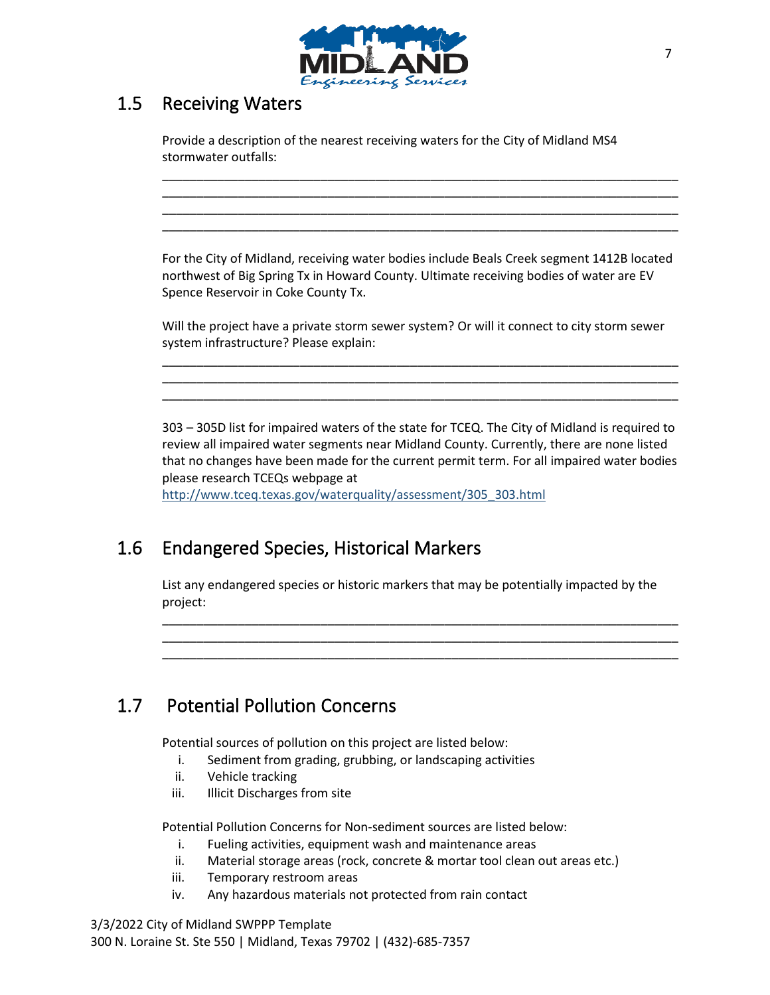

### 1.5 Receiving Waters

Provide a description of the nearest receiving waters for the City of Midland MS4 stormwater outfalls:

For the City of Midland, receiving water bodies include Beals Creek segment 1412B located northwest of Big Spring Tx in Howard County. Ultimate receiving bodies of water are EV Spence Reservoir in Coke County Tx.

\_\_\_\_\_\_\_\_\_\_\_\_\_\_\_\_\_\_\_\_\_\_\_\_\_\_\_\_\_\_\_\_\_\_\_\_\_\_\_\_\_\_\_\_\_\_\_\_\_\_\_\_\_\_\_\_\_\_\_\_\_\_\_\_\_\_\_\_\_\_\_\_\_\_\_ \_\_\_\_\_\_\_\_\_\_\_\_\_\_\_\_\_\_\_\_\_\_\_\_\_\_\_\_\_\_\_\_\_\_\_\_\_\_\_\_\_\_\_\_\_\_\_\_\_\_\_\_\_\_\_\_\_\_\_\_\_\_\_\_\_\_\_\_\_\_\_\_\_\_\_ \_\_\_\_\_\_\_\_\_\_\_\_\_\_\_\_\_\_\_\_\_\_\_\_\_\_\_\_\_\_\_\_\_\_\_\_\_\_\_\_\_\_\_\_\_\_\_\_\_\_\_\_\_\_\_\_\_\_\_\_\_\_\_\_\_\_\_\_\_\_\_\_\_\_\_ \_\_\_\_\_\_\_\_\_\_\_\_\_\_\_\_\_\_\_\_\_\_\_\_\_\_\_\_\_\_\_\_\_\_\_\_\_\_\_\_\_\_\_\_\_\_\_\_\_\_\_\_\_\_\_\_\_\_\_\_\_\_\_\_\_\_\_\_\_\_\_\_\_\_\_

Will the project have a private storm sewer system? Or will it connect to city storm sewer system infrastructure? Please explain:

\_\_\_\_\_\_\_\_\_\_\_\_\_\_\_\_\_\_\_\_\_\_\_\_\_\_\_\_\_\_\_\_\_\_\_\_\_\_\_\_\_\_\_\_\_\_\_\_\_\_\_\_\_\_\_\_\_\_\_\_\_\_\_\_\_\_\_\_\_\_\_\_\_\_\_ \_\_\_\_\_\_\_\_\_\_\_\_\_\_\_\_\_\_\_\_\_\_\_\_\_\_\_\_\_\_\_\_\_\_\_\_\_\_\_\_\_\_\_\_\_\_\_\_\_\_\_\_\_\_\_\_\_\_\_\_\_\_\_\_\_\_\_\_\_\_\_\_\_\_\_ \_\_\_\_\_\_\_\_\_\_\_\_\_\_\_\_\_\_\_\_\_\_\_\_\_\_\_\_\_\_\_\_\_\_\_\_\_\_\_\_\_\_\_\_\_\_\_\_\_\_\_\_\_\_\_\_\_\_\_\_\_\_\_\_\_\_\_\_\_\_\_\_\_\_\_

303 – 305D list for impaired waters of the state for TCEQ. The City of Midland is required to review all impaired water segments near Midland County. Currently, there are none listed that no changes have been made for the current permit term. For all impaired water bodies please research TCEQs webpage at

[http://www.tceq.texas.gov/waterquality/assessment/305\\_303.html](http://www.tceq.texas.gov/waterquality/assessment/305_303.html)

### 1.6 Endangered Species, Historical Markers

List any endangered species or historic markers that may be potentially impacted by the project:

\_\_\_\_\_\_\_\_\_\_\_\_\_\_\_\_\_\_\_\_\_\_\_\_\_\_\_\_\_\_\_\_\_\_\_\_\_\_\_\_\_\_\_\_\_\_\_\_\_\_\_\_\_\_\_\_\_\_\_\_\_\_\_\_\_\_\_\_\_\_\_\_\_\_\_ \_\_\_\_\_\_\_\_\_\_\_\_\_\_\_\_\_\_\_\_\_\_\_\_\_\_\_\_\_\_\_\_\_\_\_\_\_\_\_\_\_\_\_\_\_\_\_\_\_\_\_\_\_\_\_\_\_\_\_\_\_\_\_\_\_\_\_\_\_\_\_\_\_\_\_ \_\_\_\_\_\_\_\_\_\_\_\_\_\_\_\_\_\_\_\_\_\_\_\_\_\_\_\_\_\_\_\_\_\_\_\_\_\_\_\_\_\_\_\_\_\_\_\_\_\_\_\_\_\_\_\_\_\_\_\_\_\_\_\_\_\_\_\_\_\_\_\_\_\_\_

### 1.7 Potential Pollution Concerns

Potential sources of pollution on this project are listed below:

- i. Sediment from grading, grubbing, or landscaping activities
- ii. Vehicle tracking
- iii. Illicit Discharges from site

Potential Pollution Concerns for Non-sediment sources are listed below:

- i. Fueling activities, equipment wash and maintenance areas
- ii. Material storage areas (rock, concrete & mortar tool clean out areas etc.)
- iii. Temporary restroom areas
- iv. Any hazardous materials not protected from rain contact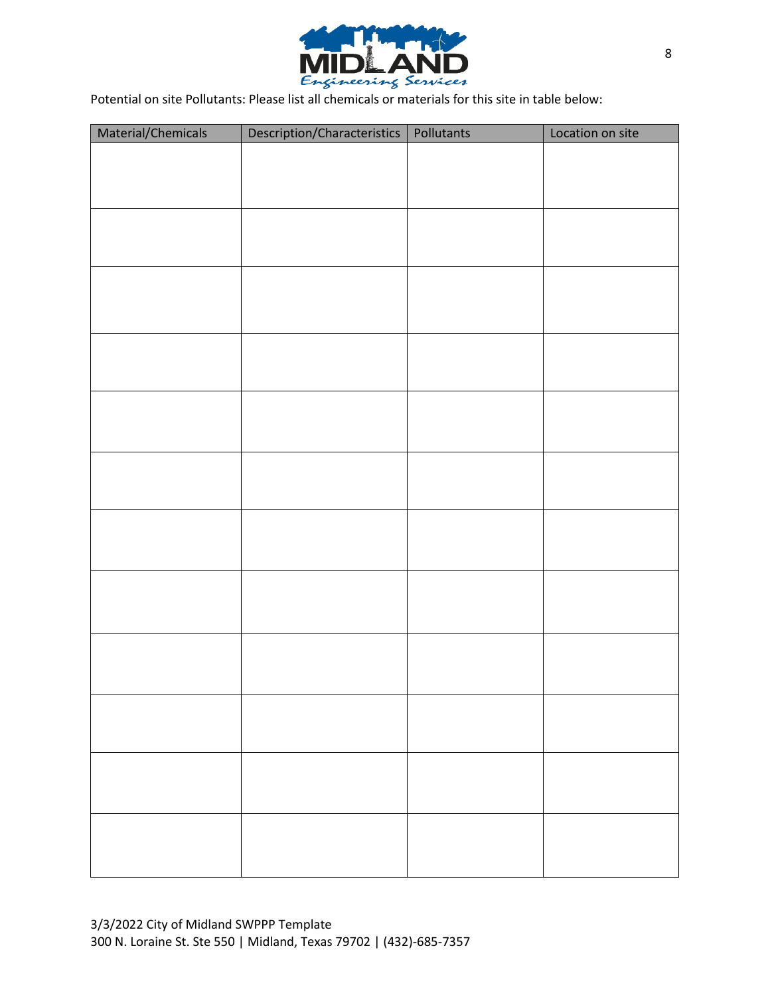

Potential on site Pollutants: Please list all chemicals or materials for this site in table below:

| Material/Chemicals | Description/Characteristics   Pollutants | Location on site |
|--------------------|------------------------------------------|------------------|
|                    |                                          |                  |
|                    |                                          |                  |
|                    |                                          |                  |
|                    |                                          |                  |
|                    |                                          |                  |
|                    |                                          |                  |
|                    |                                          |                  |
|                    |                                          |                  |
|                    |                                          |                  |
|                    |                                          |                  |
|                    |                                          |                  |
|                    |                                          |                  |
|                    |                                          |                  |
|                    |                                          |                  |
|                    |                                          |                  |
|                    |                                          |                  |
|                    |                                          |                  |
|                    |                                          |                  |
|                    |                                          |                  |
|                    |                                          |                  |
|                    |                                          |                  |
|                    |                                          |                  |
|                    |                                          |                  |
|                    |                                          |                  |
|                    |                                          |                  |
|                    |                                          |                  |
|                    |                                          |                  |
|                    |                                          |                  |
|                    |                                          |                  |
|                    |                                          |                  |
|                    |                                          |                  |
|                    |                                          |                  |
|                    |                                          |                  |
|                    |                                          |                  |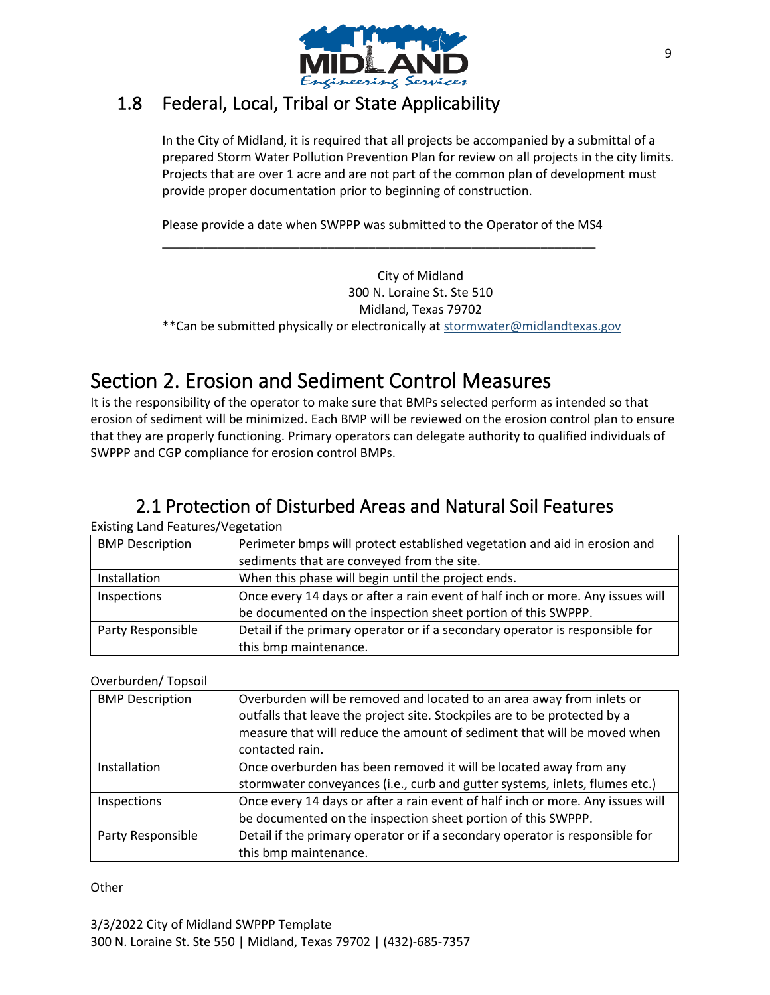

### 1.8 Federal, Local, Tribal or State Applicability

In the City of Midland, it is required that all projects be accompanied by a submittal of a prepared Storm Water Pollution Prevention Plan for review on all projects in the city limits. Projects that are over 1 acre and are not part of the common plan of development must provide proper documentation prior to beginning of construction.

Please provide a date when SWPPP was submitted to the Operator of the MS4 \_\_\_\_\_\_\_\_\_\_\_\_\_\_\_\_\_\_\_\_\_\_\_\_\_\_\_\_\_\_\_\_\_\_\_\_\_\_\_\_\_\_\_\_\_\_\_\_\_\_\_\_\_\_\_\_\_\_\_\_\_\_\_

City of Midland 300 N. Loraine St. Ste 510 Midland, Texas 79702 \*\*Can be submitted physically or electronically at [stormwater@midlandtexas.gov](mailto:stormwater@midlandtexas.gov)

# Section 2. Erosion and Sediment Control Measures

It is the responsibility of the operator to make sure that BMPs selected perform as intended so that erosion of sediment will be minimized. Each BMP will be reviewed on the erosion control plan to ensure that they are properly functioning. Primary operators can delegate authority to qualified individuals of SWPPP and CGP compliance for erosion control BMPs.

## 2.1 Protection of Disturbed Areas and Natural Soil Features

Existing Land Features/Vegetation

| <b>BMP Description</b> | Perimeter bmps will protect established vegetation and aid in erosion and      |
|------------------------|--------------------------------------------------------------------------------|
|                        | sediments that are conveyed from the site.                                     |
| Installation           | When this phase will begin until the project ends.                             |
| Inspections            | Once every 14 days or after a rain event of half inch or more. Any issues will |
|                        | be documented on the inspection sheet portion of this SWPPP.                   |
| Party Responsible      | Detail if the primary operator or if a secondary operator is responsible for   |
|                        | this bmp maintenance.                                                          |

### Overburden/ Topsoil

| <b>BMP Description</b> | Overburden will be removed and located to an area away from inlets or<br>outfalls that leave the project site. Stockpiles are to be protected by a<br>measure that will reduce the amount of sediment that will be moved when<br>contacted rain. |
|------------------------|--------------------------------------------------------------------------------------------------------------------------------------------------------------------------------------------------------------------------------------------------|
| Installation           | Once overburden has been removed it will be located away from any                                                                                                                                                                                |
|                        | stormwater conveyances (i.e., curb and gutter systems, inlets, flumes etc.)                                                                                                                                                                      |
| Inspections            | Once every 14 days or after a rain event of half inch or more. Any issues will                                                                                                                                                                   |
|                        | be documented on the inspection sheet portion of this SWPPP.                                                                                                                                                                                     |
| Party Responsible      | Detail if the primary operator or if a secondary operator is responsible for                                                                                                                                                                     |
|                        | this bmp maintenance.                                                                                                                                                                                                                            |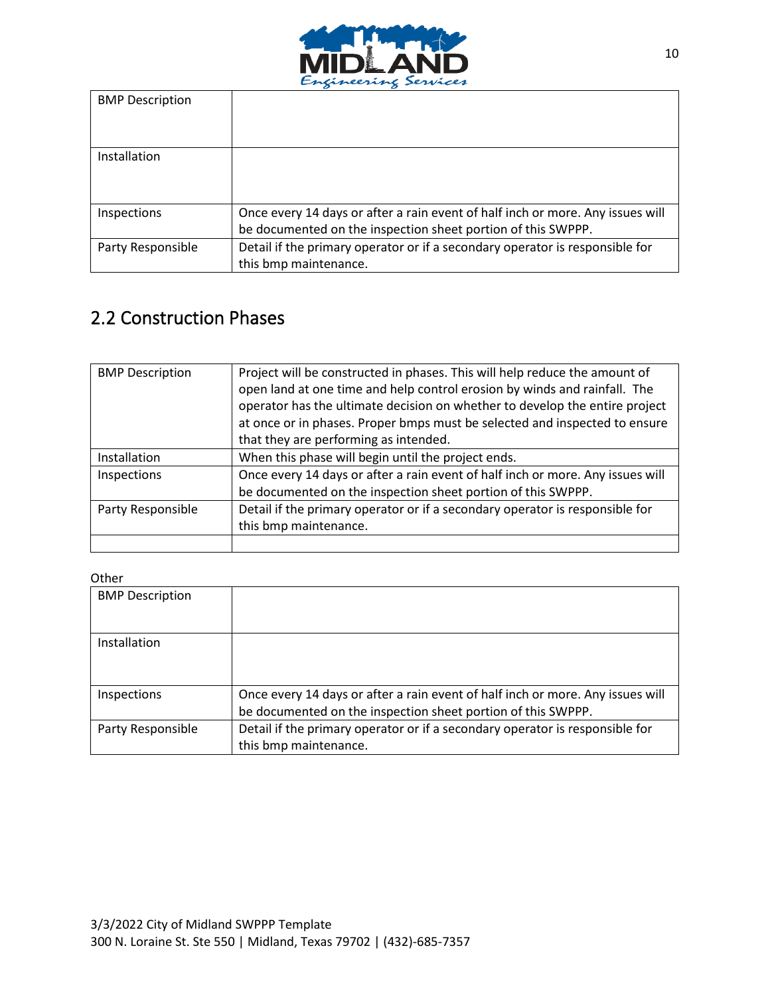

| <b>BMP</b> Description |                                                                                                                                                |
|------------------------|------------------------------------------------------------------------------------------------------------------------------------------------|
| Installation           |                                                                                                                                                |
| Inspections            | Once every 14 days or after a rain event of half inch or more. Any issues will<br>be documented on the inspection sheet portion of this SWPPP. |
| Party Responsible      | Detail if the primary operator or if a secondary operator is responsible for<br>this bmp maintenance.                                          |

## 2.2 Construction Phases

| <b>BMP Description</b> | Project will be constructed in phases. This will help reduce the amount of<br>open land at one time and help control erosion by winds and rainfall. The<br>operator has the ultimate decision on whether to develop the entire project |
|------------------------|----------------------------------------------------------------------------------------------------------------------------------------------------------------------------------------------------------------------------------------|
|                        | at once or in phases. Proper bmps must be selected and inspected to ensure                                                                                                                                                             |
|                        | that they are performing as intended.                                                                                                                                                                                                  |
| Installation           | When this phase will begin until the project ends.                                                                                                                                                                                     |
| Inspections            | Once every 14 days or after a rain event of half inch or more. Any issues will                                                                                                                                                         |
|                        | be documented on the inspection sheet portion of this SWPPP.                                                                                                                                                                           |
| Party Responsible      | Detail if the primary operator or if a secondary operator is responsible for                                                                                                                                                           |
|                        | this bmp maintenance.                                                                                                                                                                                                                  |
|                        |                                                                                                                                                                                                                                        |

| <b>BMP Description</b> |                                                                                                                                                |
|------------------------|------------------------------------------------------------------------------------------------------------------------------------------------|
| Installation           |                                                                                                                                                |
| Inspections            | Once every 14 days or after a rain event of half inch or more. Any issues will<br>be documented on the inspection sheet portion of this SWPPP. |
| Party Responsible      | Detail if the primary operator or if a secondary operator is responsible for<br>this bmp maintenance.                                          |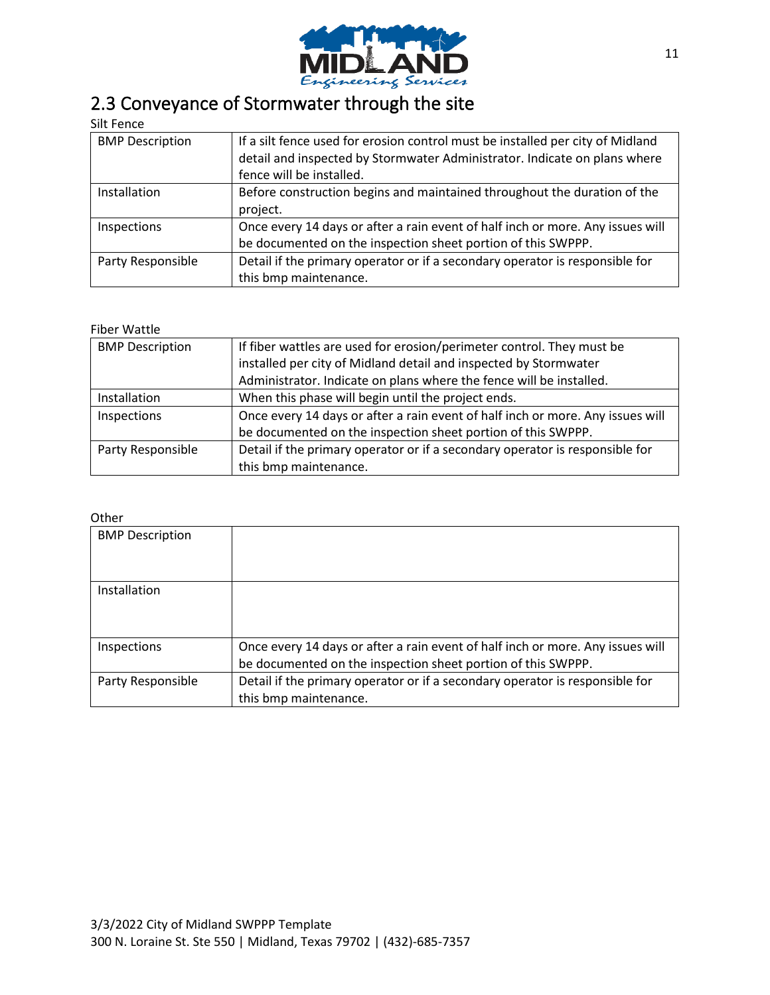

# 2.3 Conveyance of Stormwater through the site

### Silt Fence

| <b>BMP Description</b> | If a silt fence used for erosion control must be installed per city of Midland<br>detail and inspected by Stormwater Administrator. Indicate on plans where<br>fence will be installed. |
|------------------------|-----------------------------------------------------------------------------------------------------------------------------------------------------------------------------------------|
| Installation           | Before construction begins and maintained throughout the duration of the<br>project.                                                                                                    |
| Inspections            | Once every 14 days or after a rain event of half inch or more. Any issues will<br>be documented on the inspection sheet portion of this SWPPP.                                          |
| Party Responsible      | Detail if the primary operator or if a secondary operator is responsible for<br>this bmp maintenance.                                                                                   |

#### Fiber Wattle

| <b>BMP Description</b> | If fiber wattles are used for erosion/perimeter control. They must be          |
|------------------------|--------------------------------------------------------------------------------|
|                        | installed per city of Midland detail and inspected by Stormwater               |
|                        | Administrator. Indicate on plans where the fence will be installed.            |
| Installation           | When this phase will begin until the project ends.                             |
| Inspections            | Once every 14 days or after a rain event of half inch or more. Any issues will |
|                        | be documented on the inspection sheet portion of this SWPPP.                   |
| Party Responsible      | Detail if the primary operator or if a secondary operator is responsible for   |
|                        | this bmp maintenance.                                                          |

| <b>BMP Description</b> |                                                                                                                                                |
|------------------------|------------------------------------------------------------------------------------------------------------------------------------------------|
| Installation           |                                                                                                                                                |
| Inspections            | Once every 14 days or after a rain event of half inch or more. Any issues will<br>be documented on the inspection sheet portion of this SWPPP. |
| Party Responsible      | Detail if the primary operator or if a secondary operator is responsible for<br>this bmp maintenance.                                          |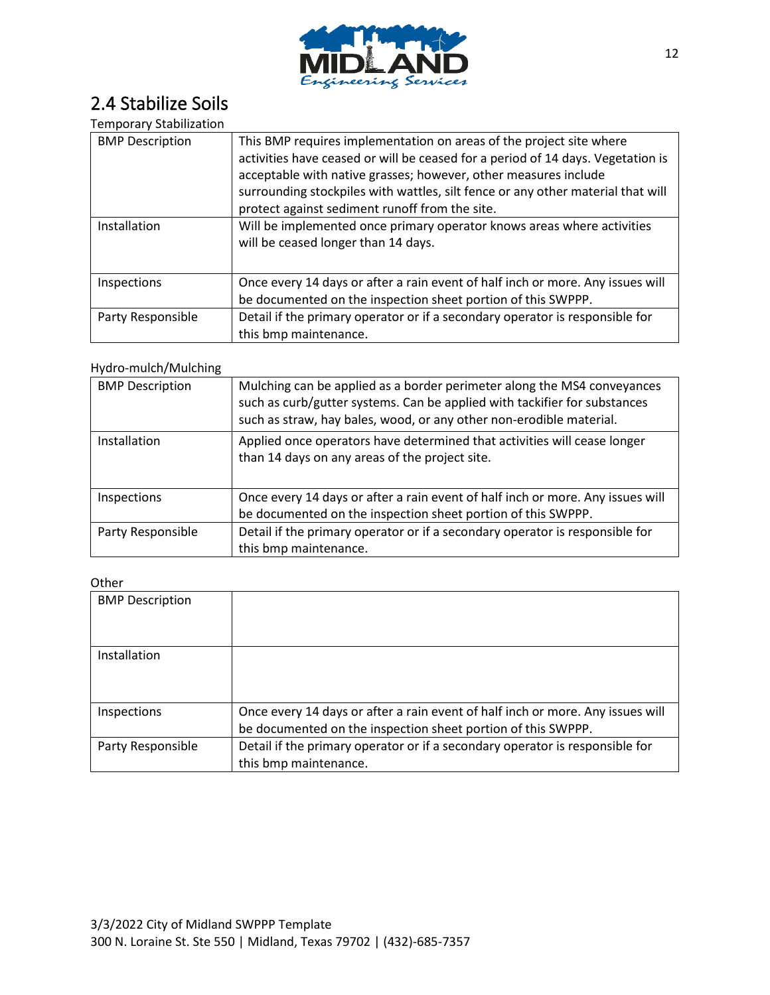

### 2.4 Stabilize Soils

#### Temporary Stabilization

| <b>BMP Description</b> | This BMP requires implementation on areas of the project site where<br>activities have ceased or will be ceased for a period of 14 days. Vegetation is<br>acceptable with native grasses; however, other measures include<br>surrounding stockpiles with wattles, silt fence or any other material that will<br>protect against sediment runoff from the site. |
|------------------------|----------------------------------------------------------------------------------------------------------------------------------------------------------------------------------------------------------------------------------------------------------------------------------------------------------------------------------------------------------------|
| Installation           | Will be implemented once primary operator knows areas where activities<br>will be ceased longer than 14 days.                                                                                                                                                                                                                                                  |
| Inspections            | Once every 14 days or after a rain event of half inch or more. Any issues will<br>be documented on the inspection sheet portion of this SWPPP.                                                                                                                                                                                                                 |
| Party Responsible      | Detail if the primary operator or if a secondary operator is responsible for<br>this bmp maintenance.                                                                                                                                                                                                                                                          |

#### Hydro-mulch/Mulching

| <b>BMP Description</b> | Mulching can be applied as a border perimeter along the MS4 conveyances<br>such as curb/gutter systems. Can be applied with tackifier for substances<br>such as straw, hay bales, wood, or any other non-erodible material. |
|------------------------|-----------------------------------------------------------------------------------------------------------------------------------------------------------------------------------------------------------------------------|
| Installation           | Applied once operators have determined that activities will cease longer<br>than 14 days on any areas of the project site.                                                                                                  |
| Inspections            | Once every 14 days or after a rain event of half inch or more. Any issues will<br>be documented on the inspection sheet portion of this SWPPP.                                                                              |
| Party Responsible      | Detail if the primary operator or if a secondary operator is responsible for<br>this bmp maintenance.                                                                                                                       |

| <b>BMP Description</b> |                                                                                                                                                |
|------------------------|------------------------------------------------------------------------------------------------------------------------------------------------|
| Installation           |                                                                                                                                                |
| Inspections            | Once every 14 days or after a rain event of half inch or more. Any issues will<br>be documented on the inspection sheet portion of this SWPPP. |
| Party Responsible      | Detail if the primary operator or if a secondary operator is responsible for<br>this bmp maintenance.                                          |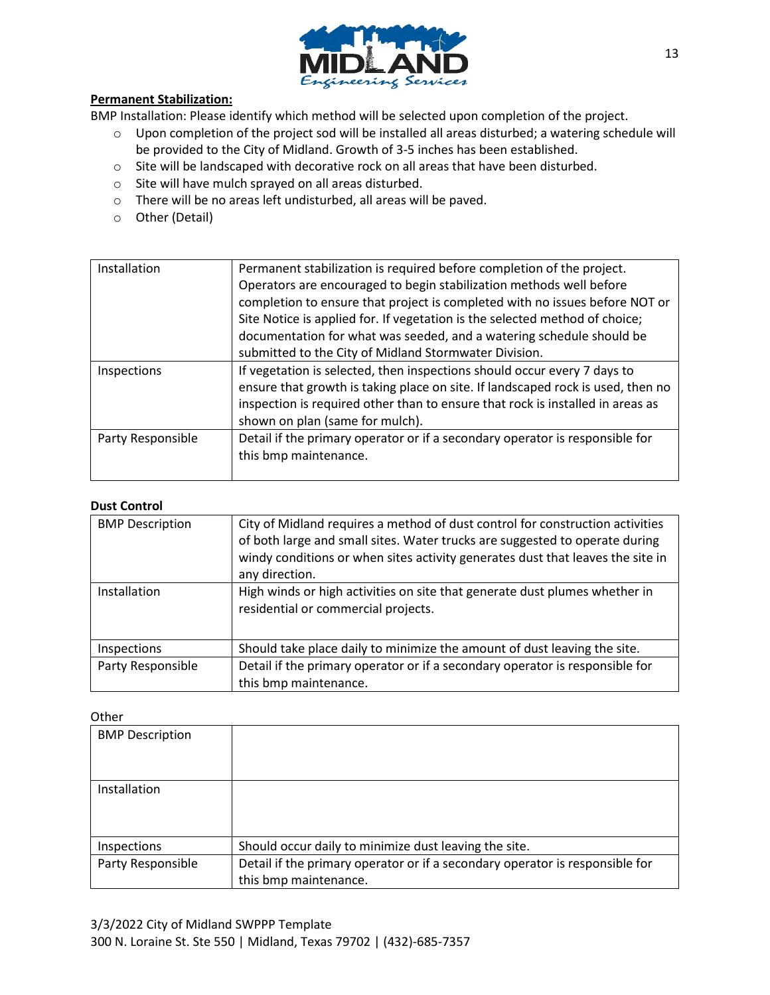

#### **Permanent Stabilization:**

BMP Installation: Please identify which method will be selected upon completion of the project.

- o Upon completion of the project sod will be installed all areas disturbed; a watering schedule will be provided to the City of Midland. Growth of 3-5 inches has been established.
- o Site will be landscaped with decorative rock on all areas that have been disturbed.
- o Site will have mulch sprayed on all areas disturbed.
- o There will be no areas left undisturbed, all areas will be paved.
- o Other (Detail)

| Installation      | Permanent stabilization is required before completion of the project.           |
|-------------------|---------------------------------------------------------------------------------|
|                   | Operators are encouraged to begin stabilization methods well before             |
|                   | completion to ensure that project is completed with no issues before NOT or     |
|                   | Site Notice is applied for. If vegetation is the selected method of choice;     |
|                   | documentation for what was seeded, and a watering schedule should be            |
|                   | submitted to the City of Midland Stormwater Division.                           |
| Inspections       | If vegetation is selected, then inspections should occur every 7 days to        |
|                   | ensure that growth is taking place on site. If landscaped rock is used, then no |
|                   | inspection is required other than to ensure that rock is installed in areas as  |
|                   | shown on plan (same for mulch).                                                 |
| Party Responsible | Detail if the primary operator or if a secondary operator is responsible for    |
|                   | this bmp maintenance.                                                           |
|                   |                                                                                 |

#### **Dust Control**

| <b>BMP Description</b> | City of Midland requires a method of dust control for construction activities<br>of both large and small sites. Water trucks are suggested to operate during<br>windy conditions or when sites activity generates dust that leaves the site in<br>any direction. |
|------------------------|------------------------------------------------------------------------------------------------------------------------------------------------------------------------------------------------------------------------------------------------------------------|
| Installation           | High winds or high activities on site that generate dust plumes whether in<br>residential or commercial projects.                                                                                                                                                |
| Inspections            | Should take place daily to minimize the amount of dust leaving the site.                                                                                                                                                                                         |
| Party Responsible      | Detail if the primary operator or if a secondary operator is responsible for<br>this bmp maintenance.                                                                                                                                                            |

| <b>BMP Description</b> |                                                                              |
|------------------------|------------------------------------------------------------------------------|
|                        |                                                                              |
| Installation           |                                                                              |
|                        |                                                                              |
| Inspections            | Should occur daily to minimize dust leaving the site.                        |
| Party Responsible      | Detail if the primary operator or if a secondary operator is responsible for |
|                        | this bmp maintenance.                                                        |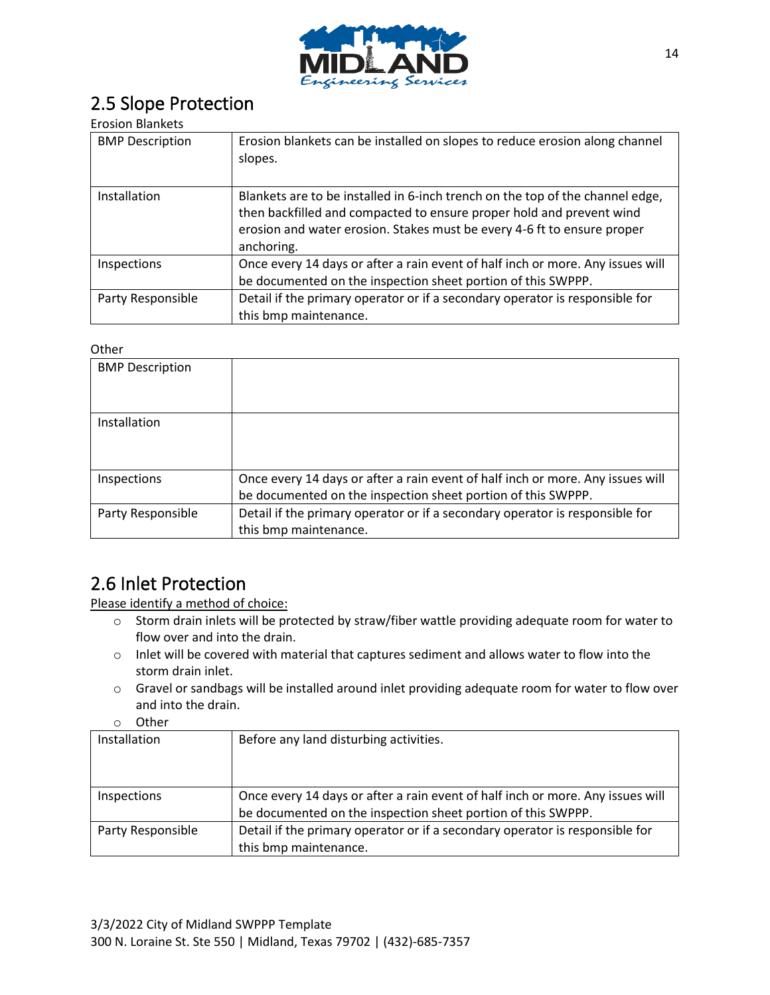

### 2.5 Slope Protection

### Erosion Blankets

| <b>BMP Description</b> | Erosion blankets can be installed on slopes to reduce erosion along channel<br>slopes.                                                                                                                                                         |
|------------------------|------------------------------------------------------------------------------------------------------------------------------------------------------------------------------------------------------------------------------------------------|
| Installation           | Blankets are to be installed in 6-inch trench on the top of the channel edge,<br>then backfilled and compacted to ensure proper hold and prevent wind<br>erosion and water erosion. Stakes must be every 4-6 ft to ensure proper<br>anchoring. |
| Inspections            | Once every 14 days or after a rain event of half inch or more. Any issues will<br>be documented on the inspection sheet portion of this SWPPP.                                                                                                 |
| Party Responsible      | Detail if the primary operator or if a secondary operator is responsible for<br>this bmp maintenance.                                                                                                                                          |

#### Other

| <b>BMP</b> Description |                                                                                                                                                |
|------------------------|------------------------------------------------------------------------------------------------------------------------------------------------|
| Installation           |                                                                                                                                                |
| Inspections            | Once every 14 days or after a rain event of half inch or more. Any issues will<br>be documented on the inspection sheet portion of this SWPPP. |
| Party Responsible      | Detail if the primary operator or if a secondary operator is responsible for<br>this bmp maintenance.                                          |

### 2.6 Inlet Protection

Please identify a method of choice:

- o Storm drain inlets will be protected by straw/fiber wattle providing adequate room for water to flow over and into the drain.
- o Inlet will be covered with material that captures sediment and allows water to flow into the storm drain inlet.
- o Gravel or sandbags will be installed around inlet providing adequate room for water to flow over and into the drain.
- o Other

| Installation      | Before any land disturbing activities.                                         |
|-------------------|--------------------------------------------------------------------------------|
|                   |                                                                                |
|                   |                                                                                |
| Inspections       | Once every 14 days or after a rain event of half inch or more. Any issues will |
|                   | be documented on the inspection sheet portion of this SWPPP.                   |
| Party Responsible | Detail if the primary operator or if a secondary operator is responsible for   |
|                   | this bmp maintenance.                                                          |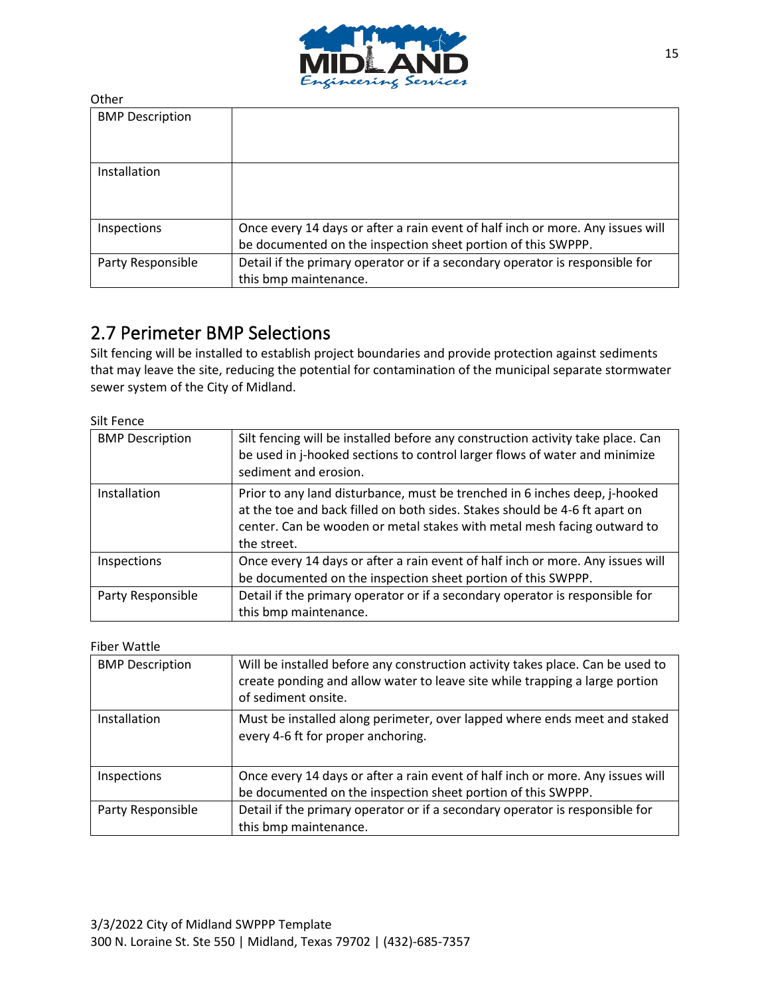

| <b>BMP Description</b> |                                                                                                                                                |
|------------------------|------------------------------------------------------------------------------------------------------------------------------------------------|
| Installation           |                                                                                                                                                |
| Inspections            | Once every 14 days or after a rain event of half inch or more. Any issues will<br>be documented on the inspection sheet portion of this SWPPP. |
| Party Responsible      | Detail if the primary operator or if a secondary operator is responsible for<br>this bmp maintenance.                                          |

### 2.7 Perimeter BMP Selections

Silt fencing will be installed to establish project boundaries and provide protection against sediments that may leave the site, reducing the potential for contamination of the municipal separate stormwater sewer system of the City of Midland.

Silt Fence

| <b>BMP Description</b> | Silt fencing will be installed before any construction activity take place. Can<br>be used in j-hooked sections to control larger flows of water and minimize<br>sediment and erosion.                                                             |
|------------------------|----------------------------------------------------------------------------------------------------------------------------------------------------------------------------------------------------------------------------------------------------|
| Installation           | Prior to any land disturbance, must be trenched in 6 inches deep, j-hooked<br>at the toe and back filled on both sides. Stakes should be 4-6 ft apart on<br>center. Can be wooden or metal stakes with metal mesh facing outward to<br>the street. |
| Inspections            | Once every 14 days or after a rain event of half inch or more. Any issues will<br>be documented on the inspection sheet portion of this SWPPP.                                                                                                     |
| Party Responsible      | Detail if the primary operator or if a secondary operator is responsible for<br>this bmp maintenance.                                                                                                                                              |

Fiber Wattle

| <b>BMP Description</b> | Will be installed before any construction activity takes place. Can be used to<br>create ponding and allow water to leave site while trapping a large portion<br>of sediment onsite. |
|------------------------|--------------------------------------------------------------------------------------------------------------------------------------------------------------------------------------|
| Installation           | Must be installed along perimeter, over lapped where ends meet and staked<br>every 4-6 ft for proper anchoring.                                                                      |
| Inspections            | Once every 14 days or after a rain event of half inch or more. Any issues will<br>be documented on the inspection sheet portion of this SWPPP.                                       |
| Party Responsible      | Detail if the primary operator or if a secondary operator is responsible for<br>this bmp maintenance.                                                                                |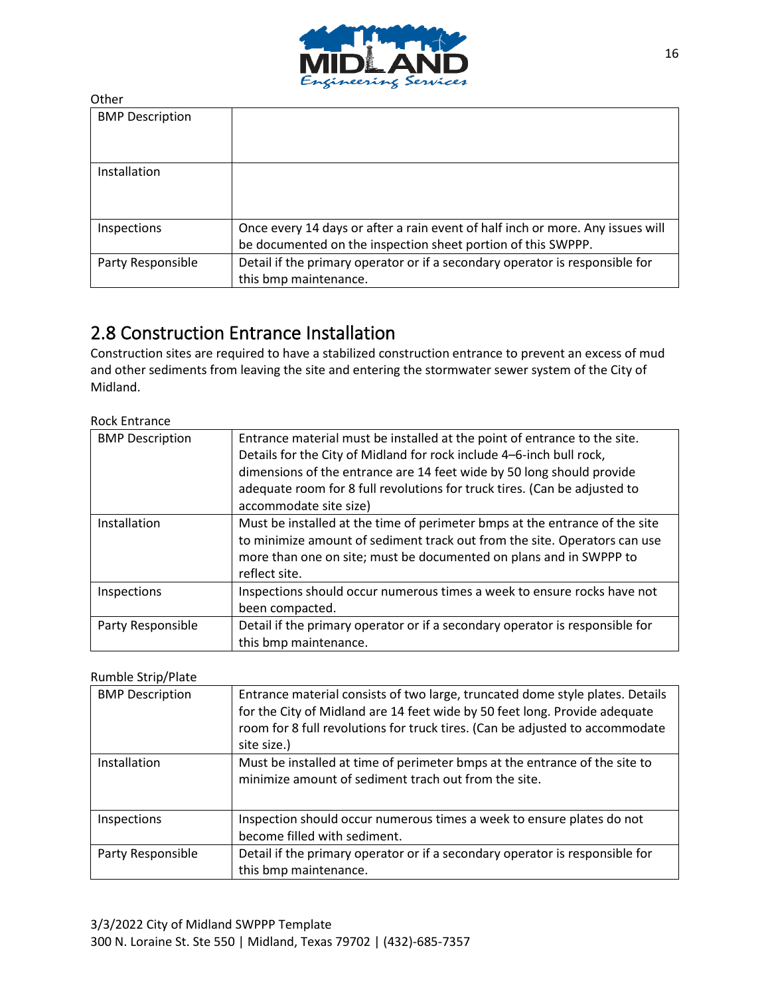

| <b>BMP Description</b> |                                                                                                                                                |
|------------------------|------------------------------------------------------------------------------------------------------------------------------------------------|
| Installation           |                                                                                                                                                |
| Inspections            | Once every 14 days or after a rain event of half inch or more. Any issues will<br>be documented on the inspection sheet portion of this SWPPP. |
| Party Responsible      | Detail if the primary operator or if a secondary operator is responsible for<br>this bmp maintenance.                                          |

### 2.8 Construction Entrance Installation

Construction sites are required to have a stabilized construction entrance to prevent an excess of mud and other sediments from leaving the site and entering the stormwater sewer system of the City of Midland.

Rock Entrance

| <b>BMP Description</b> | Entrance material must be installed at the point of entrance to the site.<br>Details for the City of Midland for rock include 4-6-inch bull rock, |
|------------------------|---------------------------------------------------------------------------------------------------------------------------------------------------|
|                        | dimensions of the entrance are 14 feet wide by 50 long should provide                                                                             |
|                        | adequate room for 8 full revolutions for truck tires. (Can be adjusted to                                                                         |
|                        | accommodate site size)                                                                                                                            |
| Installation           | Must be installed at the time of perimeter bmps at the entrance of the site                                                                       |
|                        | to minimize amount of sediment track out from the site. Operators can use                                                                         |
|                        | more than one on site; must be documented on plans and in SWPPP to                                                                                |
|                        | reflect site.                                                                                                                                     |
| Inspections            | Inspections should occur numerous times a week to ensure rocks have not                                                                           |
|                        | been compacted.                                                                                                                                   |
| Party Responsible      | Detail if the primary operator or if a secondary operator is responsible for                                                                      |
|                        | this bmp maintenance.                                                                                                                             |

#### Rumble Strip/Plate

| <b>BMP Description</b> | Entrance material consists of two large, truncated dome style plates. Details<br>for the City of Midland are 14 feet wide by 50 feet long. Provide adequate<br>room for 8 full revolutions for truck tires. (Can be adjusted to accommodate<br>site size.) |
|------------------------|------------------------------------------------------------------------------------------------------------------------------------------------------------------------------------------------------------------------------------------------------------|
| Installation           | Must be installed at time of perimeter bmps at the entrance of the site to<br>minimize amount of sediment trach out from the site.                                                                                                                         |
| Inspections            | Inspection should occur numerous times a week to ensure plates do not<br>become filled with sediment.                                                                                                                                                      |
| Party Responsible      | Detail if the primary operator or if a secondary operator is responsible for<br>this bmp maintenance.                                                                                                                                                      |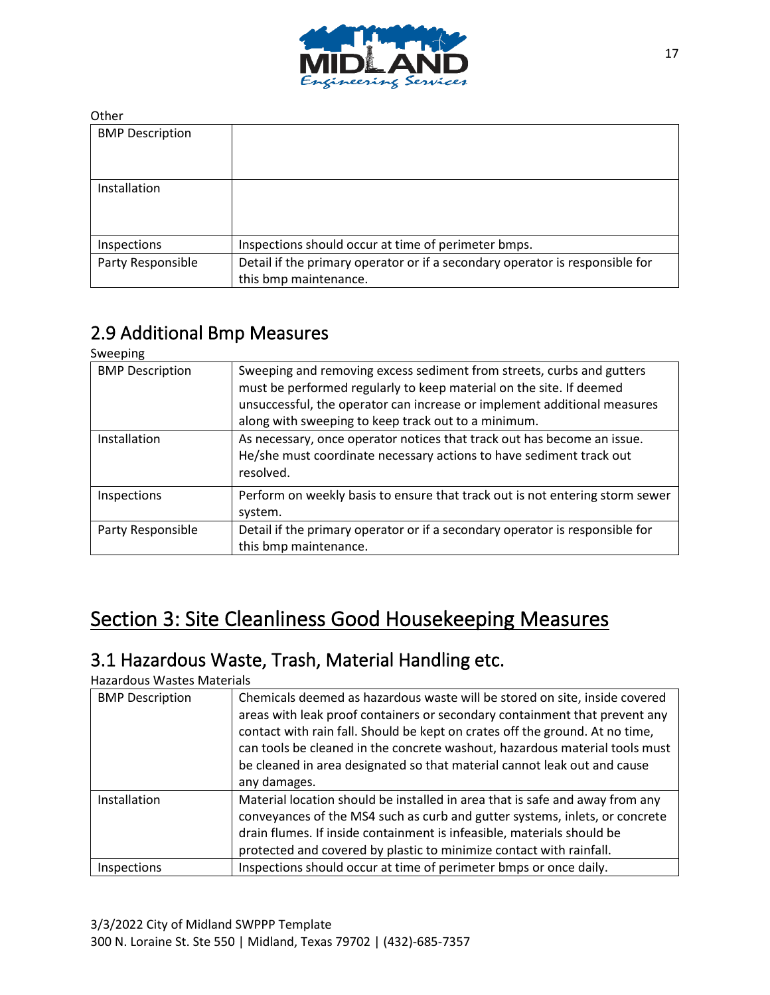

| <b>BMP Description</b> |                                                                                                       |
|------------------------|-------------------------------------------------------------------------------------------------------|
| Installation           |                                                                                                       |
| Inspections            | Inspections should occur at time of perimeter bmps.                                                   |
| Party Responsible      | Detail if the primary operator or if a secondary operator is responsible for<br>this bmp maintenance. |

## 2.9 Additional Bmp Measures

Sweeping

| .                      |                                                                                                                                                                                                                                                                                 |
|------------------------|---------------------------------------------------------------------------------------------------------------------------------------------------------------------------------------------------------------------------------------------------------------------------------|
| <b>BMP Description</b> | Sweeping and removing excess sediment from streets, curbs and gutters<br>must be performed regularly to keep material on the site. If deemed<br>unsuccessful, the operator can increase or implement additional measures<br>along with sweeping to keep track out to a minimum. |
| Installation           | As necessary, once operator notices that track out has become an issue.<br>He/she must coordinate necessary actions to have sediment track out<br>resolved.                                                                                                                     |
| Inspections            | Perform on weekly basis to ensure that track out is not entering storm sewer<br>system.                                                                                                                                                                                         |
| Party Responsible      | Detail if the primary operator or if a secondary operator is responsible for<br>this bmp maintenance.                                                                                                                                                                           |

# Section 3: Site Cleanliness Good Housekeeping Measures

### 3.1 Hazardous Waste, Trash, Material Handling etc.

### Hazardous Wastes Materials

| <b>BMP Description</b> | Chemicals deemed as hazardous waste will be stored on site, inside covered<br>areas with leak proof containers or secondary containment that prevent any<br>contact with rain fall. Should be kept on crates off the ground. At no time,<br>can tools be cleaned in the concrete washout, hazardous material tools must<br>be cleaned in area designated so that material cannot leak out and cause<br>any damages. |
|------------------------|---------------------------------------------------------------------------------------------------------------------------------------------------------------------------------------------------------------------------------------------------------------------------------------------------------------------------------------------------------------------------------------------------------------------|
| Installation           | Material location should be installed in area that is safe and away from any<br>conveyances of the MS4 such as curb and gutter systems, inlets, or concrete<br>drain flumes. If inside containment is infeasible, materials should be<br>protected and covered by plastic to minimize contact with rainfall.                                                                                                        |
| Inspections            | Inspections should occur at time of perimeter bmps or once daily.                                                                                                                                                                                                                                                                                                                                                   |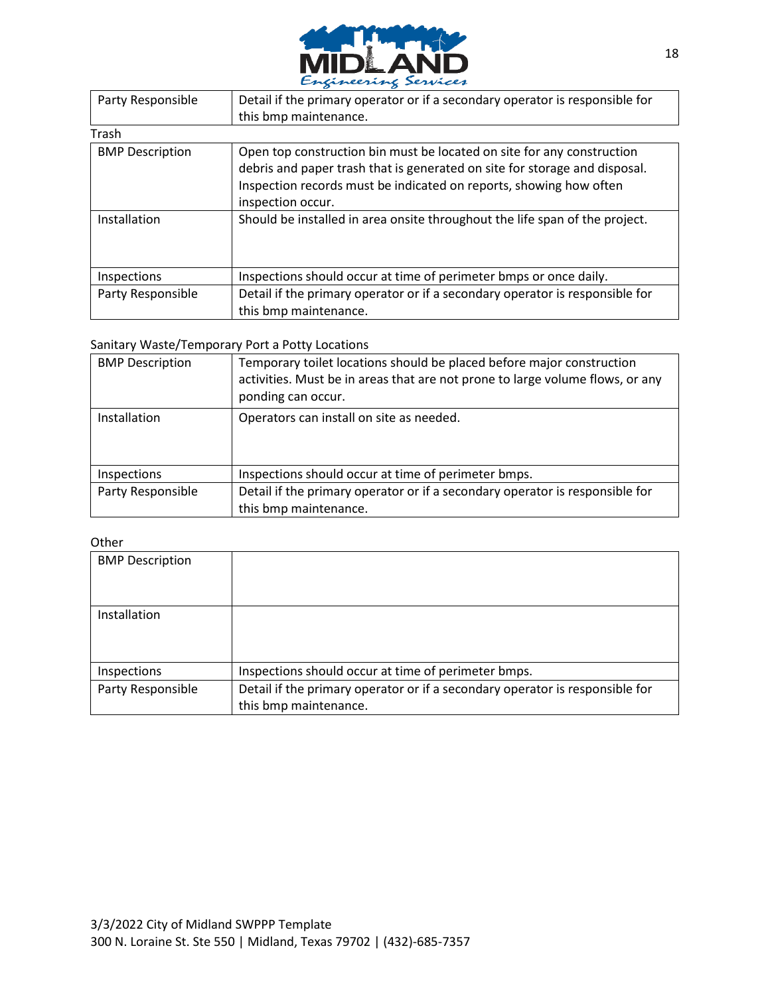

| Party Responsible      | Detail if the primary operator or if a secondary operator is responsible for                                                                                                                                                                    |
|------------------------|-------------------------------------------------------------------------------------------------------------------------------------------------------------------------------------------------------------------------------------------------|
|                        | this bmp maintenance.                                                                                                                                                                                                                           |
| Trash                  |                                                                                                                                                                                                                                                 |
| <b>BMP Description</b> | Open top construction bin must be located on site for any construction<br>debris and paper trash that is generated on site for storage and disposal.<br>Inspection records must be indicated on reports, showing how often<br>inspection occur. |
| Installation           | Should be installed in area onsite throughout the life span of the project.                                                                                                                                                                     |
| Inspections            | Inspections should occur at time of perimeter bmps or once daily.                                                                                                                                                                               |
| Party Responsible      | Detail if the primary operator or if a secondary operator is responsible for<br>this bmp maintenance.                                                                                                                                           |

#### Sanitary Waste/Temporary Port a Potty Locations

| <b>BMP Description</b> | Temporary toilet locations should be placed before major construction<br>activities. Must be in areas that are not prone to large volume flows, or any<br>ponding can occur. |
|------------------------|------------------------------------------------------------------------------------------------------------------------------------------------------------------------------|
| Installation           | Operators can install on site as needed.                                                                                                                                     |
| Inspections            | Inspections should occur at time of perimeter bmps.                                                                                                                          |
| Party Responsible      | Detail if the primary operator or if a secondary operator is responsible for                                                                                                 |
|                        | this bmp maintenance.                                                                                                                                                        |

| <b>BMP Description</b> |                                                                              |
|------------------------|------------------------------------------------------------------------------|
|                        |                                                                              |
| Installation           |                                                                              |
|                        |                                                                              |
|                        |                                                                              |
| Inspections            | Inspections should occur at time of perimeter bmps.                          |
| Party Responsible      | Detail if the primary operator or if a secondary operator is responsible for |
|                        | this bmp maintenance.                                                        |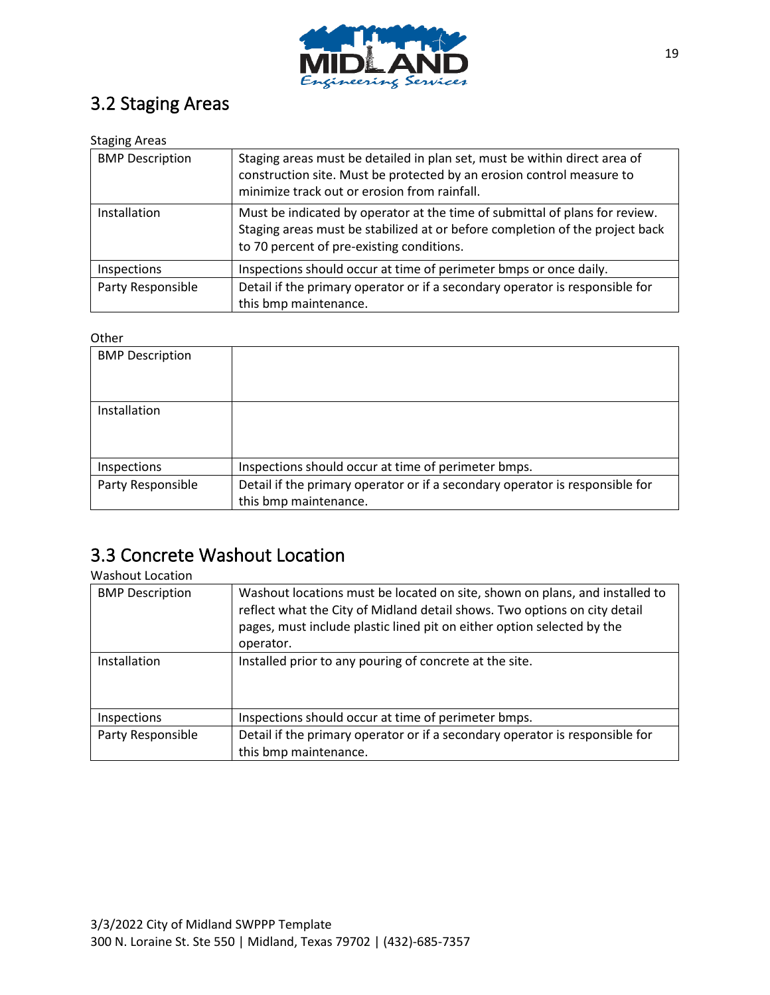

## 3.2 Staging Areas

### Staging Areas

| <b>BMP Description</b> | Staging areas must be detailed in plan set, must be within direct area of<br>construction site. Must be protected by an erosion control measure to<br>minimize track out or erosion from rainfall.       |
|------------------------|----------------------------------------------------------------------------------------------------------------------------------------------------------------------------------------------------------|
| Installation           | Must be indicated by operator at the time of submittal of plans for review.<br>Staging areas must be stabilized at or before completion of the project back<br>to 70 percent of pre-existing conditions. |
| Inspections            | Inspections should occur at time of perimeter bmps or once daily.                                                                                                                                        |
| Party Responsible      | Detail if the primary operator or if a secondary operator is responsible for<br>this bmp maintenance.                                                                                                    |

### **Other**

| <b>BMP Description</b> |                                                                              |
|------------------------|------------------------------------------------------------------------------|
| Installation           |                                                                              |
| Inspections            | Inspections should occur at time of perimeter bmps.                          |
| Party Responsible      | Detail if the primary operator or if a secondary operator is responsible for |
|                        | this bmp maintenance.                                                        |

### 3.3 Concrete Washout Location

### Washout Location

| <b>BMP Description</b> | Washout locations must be located on site, shown on plans, and installed to<br>reflect what the City of Midland detail shows. Two options on city detail<br>pages, must include plastic lined pit on either option selected by the<br>operator. |
|------------------------|-------------------------------------------------------------------------------------------------------------------------------------------------------------------------------------------------------------------------------------------------|
| Installation           | Installed prior to any pouring of concrete at the site.                                                                                                                                                                                         |
| <b>Inspections</b>     | Inspections should occur at time of perimeter bmps.                                                                                                                                                                                             |
| Party Responsible      | Detail if the primary operator or if a secondary operator is responsible for<br>this bmp maintenance.                                                                                                                                           |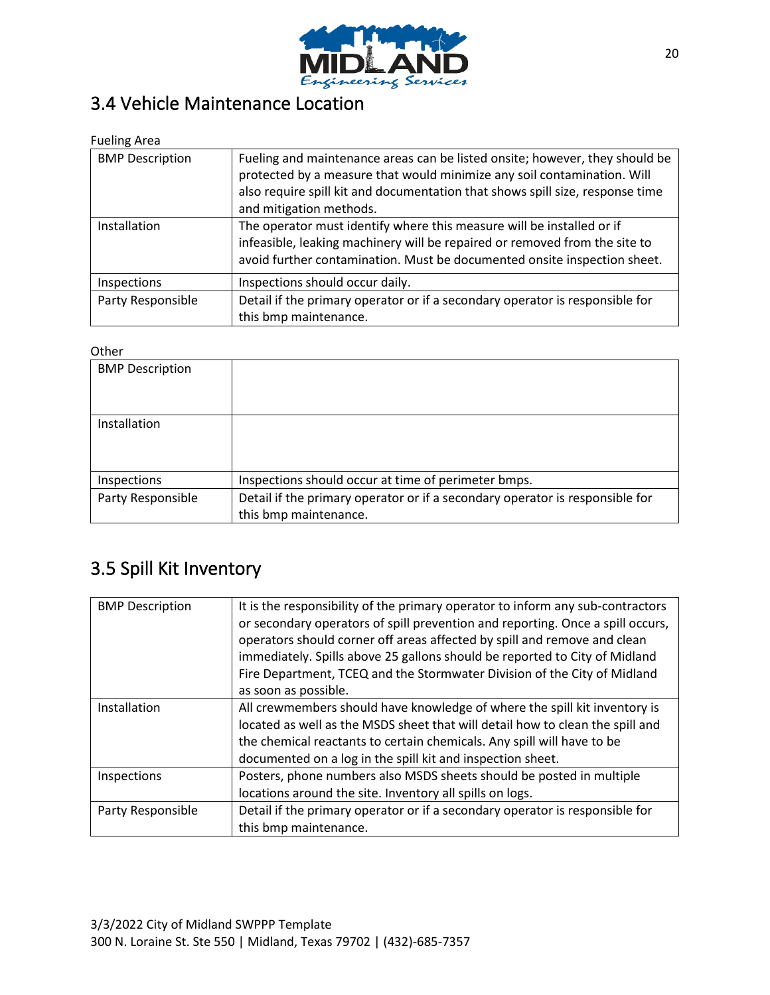

# 3.4 Vehicle Maintenance Location

Fueling Area

| <b>BMP Description</b> | Fueling and maintenance areas can be listed onsite; however, they should be<br>protected by a measure that would minimize any soil contamination. Will<br>also require spill kit and documentation that shows spill size, response time<br>and mitigation methods. |
|------------------------|--------------------------------------------------------------------------------------------------------------------------------------------------------------------------------------------------------------------------------------------------------------------|
| Installation           | The operator must identify where this measure will be installed or if<br>infeasible, leaking machinery will be repaired or removed from the site to<br>avoid further contamination. Must be documented onsite inspection sheet.                                    |
| Inspections            | Inspections should occur daily.                                                                                                                                                                                                                                    |
| Party Responsible      | Detail if the primary operator or if a secondary operator is responsible for<br>this bmp maintenance.                                                                                                                                                              |

### **Other**

| -----                  |                                                                                                       |
|------------------------|-------------------------------------------------------------------------------------------------------|
| <b>BMP Description</b> |                                                                                                       |
| Installation           |                                                                                                       |
| Inspections            | Inspections should occur at time of perimeter bmps.                                                   |
| Party Responsible      | Detail if the primary operator or if a secondary operator is responsible for<br>this bmp maintenance. |

## 3.5 Spill Kit Inventory

| <b>BMP Description</b> | It is the responsibility of the primary operator to inform any sub-contractors<br>or secondary operators of spill prevention and reporting. Once a spill occurs,<br>operators should corner off areas affected by spill and remove and clean<br>immediately. Spills above 25 gallons should be reported to City of Midland<br>Fire Department, TCEQ and the Stormwater Division of the City of Midland<br>as soon as possible. |
|------------------------|--------------------------------------------------------------------------------------------------------------------------------------------------------------------------------------------------------------------------------------------------------------------------------------------------------------------------------------------------------------------------------------------------------------------------------|
| Installation           | All crewmembers should have knowledge of where the spill kit inventory is<br>located as well as the MSDS sheet that will detail how to clean the spill and<br>the chemical reactants to certain chemicals. Any spill will have to be<br>documented on a log in the spill kit and inspection sheet.                                                                                                                             |
| Inspections            | Posters, phone numbers also MSDS sheets should be posted in multiple<br>locations around the site. Inventory all spills on logs.                                                                                                                                                                                                                                                                                               |
| Party Responsible      | Detail if the primary operator or if a secondary operator is responsible for<br>this bmp maintenance.                                                                                                                                                                                                                                                                                                                          |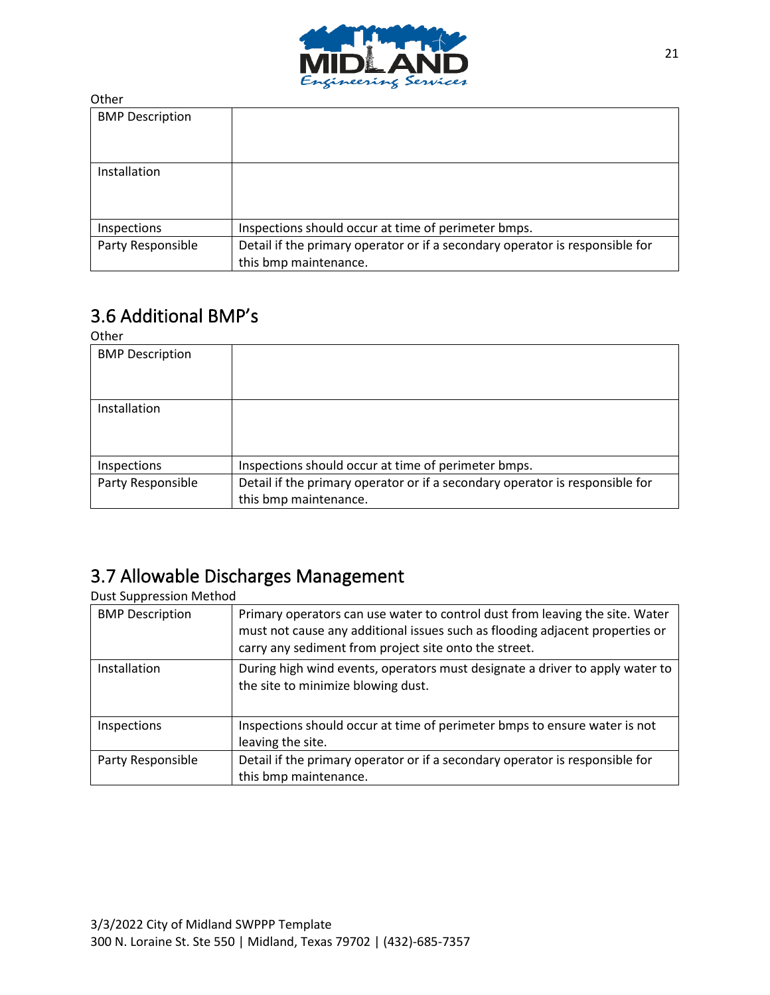

| <b>BMP Description</b> |                                                                              |
|------------------------|------------------------------------------------------------------------------|
|                        |                                                                              |
|                        |                                                                              |
| Installation           |                                                                              |
|                        |                                                                              |
|                        |                                                                              |
| Inspections            | Inspections should occur at time of perimeter bmps.                          |
| Party Responsible      | Detail if the primary operator or if a secondary operator is responsible for |
|                        | this bmp maintenance.                                                        |

## 3.6 Additional BMP's

Other

| ULIICI                 |                                                                              |
|------------------------|------------------------------------------------------------------------------|
| <b>BMP Description</b> |                                                                              |
| Installation           |                                                                              |
| Inspections            | Inspections should occur at time of perimeter bmps.                          |
| Party Responsible      | Detail if the primary operator or if a secondary operator is responsible for |
|                        | this bmp maintenance.                                                        |

### 3.7 Allowable Discharges Management

Dust Suppression Method

| <b>BMP Description</b> | Primary operators can use water to control dust from leaving the site. Water<br>must not cause any additional issues such as flooding adjacent properties or<br>carry any sediment from project site onto the street. |
|------------------------|-----------------------------------------------------------------------------------------------------------------------------------------------------------------------------------------------------------------------|
| Installation           | During high wind events, operators must designate a driver to apply water to<br>the site to minimize blowing dust.                                                                                                    |
| Inspections            | Inspections should occur at time of perimeter bmps to ensure water is not<br>leaving the site.                                                                                                                        |
| Party Responsible      | Detail if the primary operator or if a secondary operator is responsible for<br>this bmp maintenance.                                                                                                                 |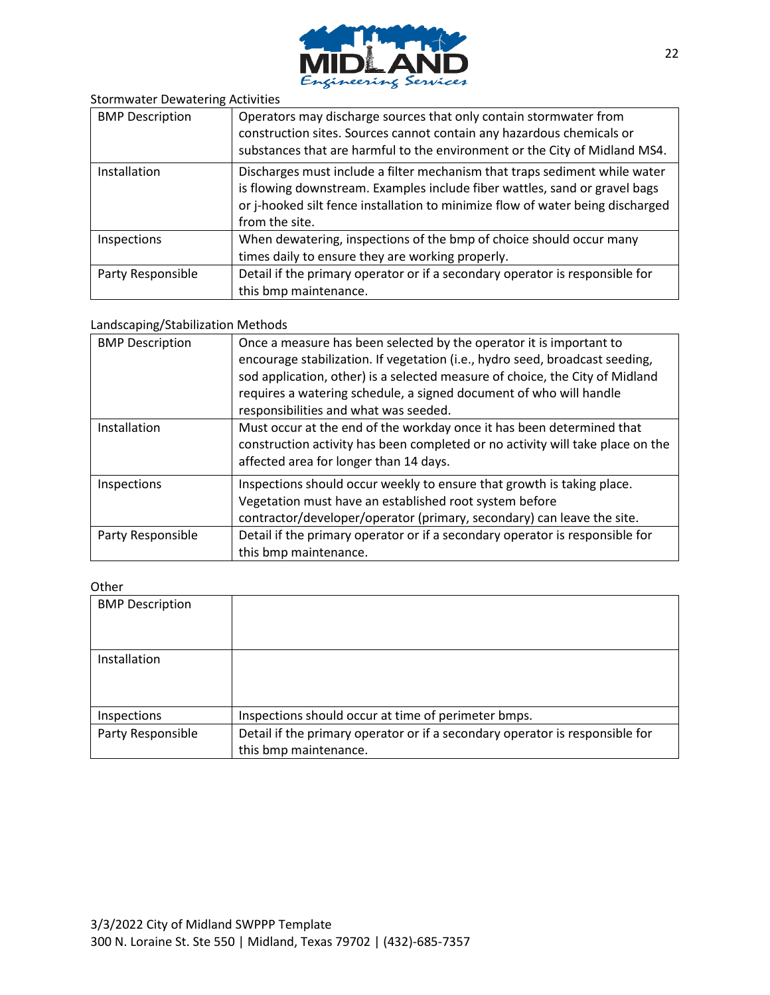

| <b>Stormwater Dewatering Activities</b> |  |  |
|-----------------------------------------|--|--|
|-----------------------------------------|--|--|

| <b>BMP Description</b> | Operators may discharge sources that only contain stormwater from<br>construction sites. Sources cannot contain any hazardous chemicals or<br>substances that are harmful to the environment or the City of Midland MS4.                                     |
|------------------------|--------------------------------------------------------------------------------------------------------------------------------------------------------------------------------------------------------------------------------------------------------------|
| Installation           | Discharges must include a filter mechanism that traps sediment while water<br>is flowing downstream. Examples include fiber wattles, sand or gravel bags<br>or j-hooked silt fence installation to minimize flow of water being discharged<br>from the site. |
| Inspections            | When dewatering, inspections of the bmp of choice should occur many<br>times daily to ensure they are working properly.                                                                                                                                      |
| Party Responsible      | Detail if the primary operator or if a secondary operator is responsible for<br>this bmp maintenance.                                                                                                                                                        |

#### Landscaping/Stabilization Methods

| <b>BMP Description</b> | Once a measure has been selected by the operator it is important to<br>encourage stabilization. If vegetation (i.e., hydro seed, broadcast seeding,<br>sod application, other) is a selected measure of choice, the City of Midland<br>requires a watering schedule, a signed document of who will handle<br>responsibilities and what was seeded. |
|------------------------|----------------------------------------------------------------------------------------------------------------------------------------------------------------------------------------------------------------------------------------------------------------------------------------------------------------------------------------------------|
| Installation           | Must occur at the end of the workday once it has been determined that<br>construction activity has been completed or no activity will take place on the<br>affected area for longer than 14 days.                                                                                                                                                  |
| Inspections            | Inspections should occur weekly to ensure that growth is taking place.<br>Vegetation must have an established root system before<br>contractor/developer/operator (primary, secondary) can leave the site.                                                                                                                                         |
| Party Responsible      | Detail if the primary operator or if a secondary operator is responsible for<br>this bmp maintenance.                                                                                                                                                                                                                                              |

| <b>BMP Description</b> |                                                                              |
|------------------------|------------------------------------------------------------------------------|
|                        |                                                                              |
| Installation           |                                                                              |
|                        |                                                                              |
|                        |                                                                              |
| Inspections            | Inspections should occur at time of perimeter bmps.                          |
| Party Responsible      | Detail if the primary operator or if a secondary operator is responsible for |
|                        | this bmp maintenance.                                                        |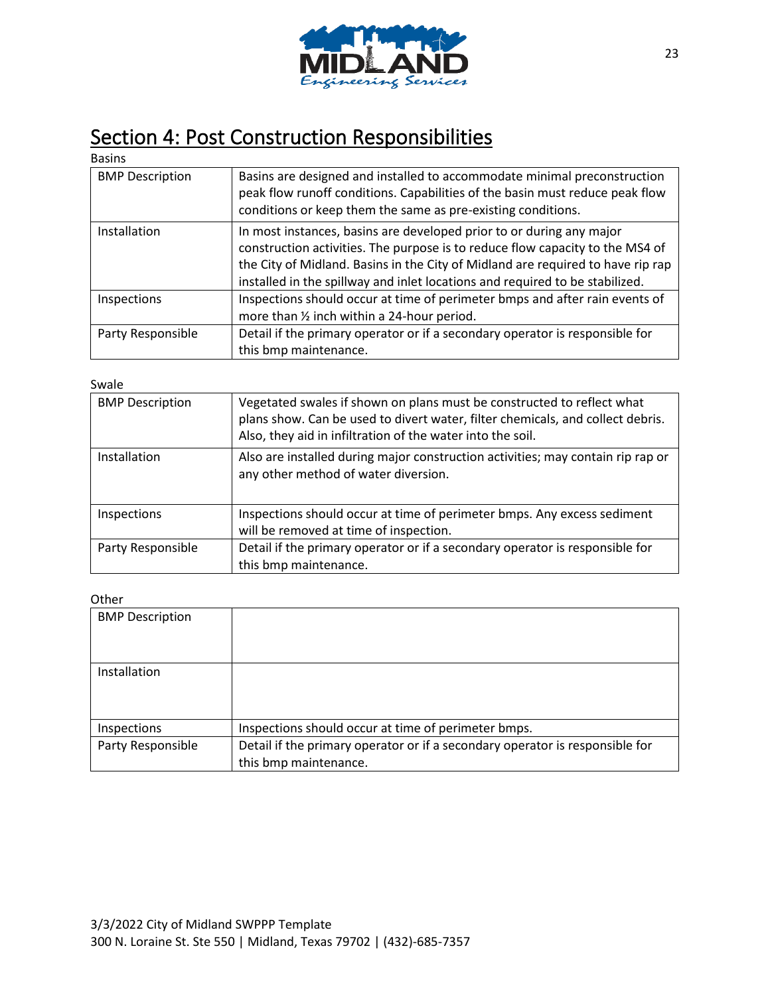

# Section 4: Post Construction Responsibilities

| <b>Basins</b>          |                                                                                                                                                                                                                                                                                                                          |
|------------------------|--------------------------------------------------------------------------------------------------------------------------------------------------------------------------------------------------------------------------------------------------------------------------------------------------------------------------|
| <b>BMP Description</b> | Basins are designed and installed to accommodate minimal preconstruction<br>peak flow runoff conditions. Capabilities of the basin must reduce peak flow<br>conditions or keep them the same as pre-existing conditions.                                                                                                 |
| Installation           | In most instances, basins are developed prior to or during any major<br>construction activities. The purpose is to reduce flow capacity to the MS4 of<br>the City of Midland. Basins in the City of Midland are required to have rip rap<br>installed in the spillway and inlet locations and required to be stabilized. |
| Inspections            | Inspections should occur at time of perimeter bmps and after rain events of<br>more than 1/2 inch within a 24-hour period.                                                                                                                                                                                               |
| Party Responsible      | Detail if the primary operator or if a secondary operator is responsible for<br>this bmp maintenance.                                                                                                                                                                                                                    |

Swale

| <b>BMP Description</b> | Vegetated swales if shown on plans must be constructed to reflect what<br>plans show. Can be used to divert water, filter chemicals, and collect debris.<br>Also, they aid in infiltration of the water into the soil. |
|------------------------|------------------------------------------------------------------------------------------------------------------------------------------------------------------------------------------------------------------------|
| Installation           | Also are installed during major construction activities; may contain rip rap or<br>any other method of water diversion.                                                                                                |
| Inspections            | Inspections should occur at time of perimeter bmps. Any excess sediment<br>will be removed at time of inspection.                                                                                                      |
| Party Responsible      | Detail if the primary operator or if a secondary operator is responsible for<br>this bmp maintenance.                                                                                                                  |

| <b>BMP Description</b> |                                                                              |
|------------------------|------------------------------------------------------------------------------|
|                        |                                                                              |
|                        |                                                                              |
| Installation           |                                                                              |
|                        |                                                                              |
|                        |                                                                              |
| Inspections            | Inspections should occur at time of perimeter bmps.                          |
| Party Responsible      | Detail if the primary operator or if a secondary operator is responsible for |
|                        | this bmp maintenance.                                                        |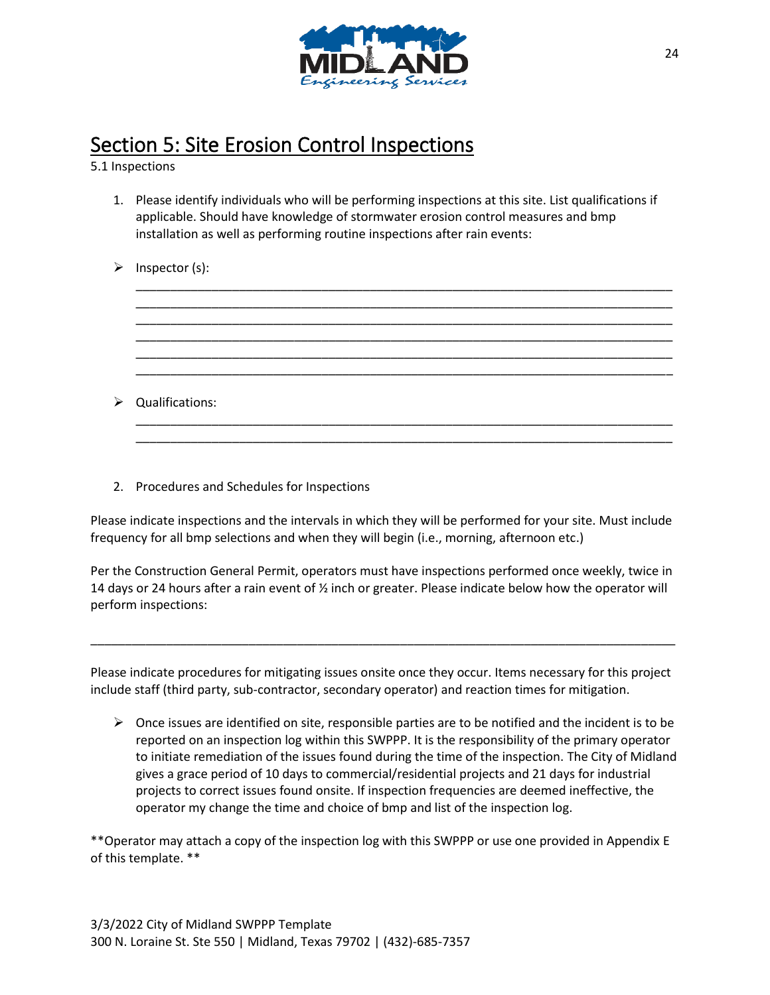

# Section 5: Site Erosion Control Inspections

5.1 Inspections

1. Please identify individuals who will be performing inspections at this site. List qualifications if applicable. Should have knowledge of stormwater erosion control measures and bmp installation as well as performing routine inspections after rain events:

\_\_\_\_\_\_\_\_\_\_\_\_\_\_\_\_\_\_\_\_\_\_\_\_\_\_\_\_\_\_\_\_\_\_\_\_\_\_\_\_\_\_\_\_\_\_\_\_\_\_\_\_\_\_\_\_\_\_\_\_\_\_\_\_\_\_\_\_\_\_\_\_\_\_\_\_\_\_ \_\_\_\_\_\_\_\_\_\_\_\_\_\_\_\_\_\_\_\_\_\_\_\_\_\_\_\_\_\_\_\_\_\_\_\_\_\_\_\_\_\_\_\_\_\_\_\_\_\_\_\_\_\_\_\_\_\_\_\_\_\_\_\_\_\_\_\_\_\_\_\_\_\_\_\_\_\_ \_\_\_\_\_\_\_\_\_\_\_\_\_\_\_\_\_\_\_\_\_\_\_\_\_\_\_\_\_\_\_\_\_\_\_\_\_\_\_\_\_\_\_\_\_\_\_\_\_\_\_\_\_\_\_\_\_\_\_\_\_\_\_\_\_\_\_\_\_\_\_\_\_\_\_\_\_\_ \_\_\_\_\_\_\_\_\_\_\_\_\_\_\_\_\_\_\_\_\_\_\_\_\_\_\_\_\_\_\_\_\_\_\_\_\_\_\_\_\_\_\_\_\_\_\_\_\_\_\_\_\_\_\_\_\_\_\_\_\_\_\_\_\_\_\_\_\_\_\_\_\_\_\_\_\_\_ \_\_\_\_\_\_\_\_\_\_\_\_\_\_\_\_\_\_\_\_\_\_\_\_\_\_\_\_\_\_\_\_\_\_\_\_\_\_\_\_\_\_\_\_\_\_\_\_\_\_\_\_\_\_\_\_\_\_\_\_\_\_\_\_\_\_\_\_\_\_\_\_\_\_\_\_\_\_ \_\_\_\_\_\_\_\_\_\_\_\_\_\_\_\_\_\_\_\_\_\_\_\_\_\_\_\_\_\_\_\_\_\_\_\_\_\_\_\_\_\_\_\_\_\_\_\_\_\_\_\_\_\_\_\_\_\_\_\_\_\_\_\_\_\_\_\_\_\_\_\_\_\_\_\_\_\_

\_\_\_\_\_\_\_\_\_\_\_\_\_\_\_\_\_\_\_\_\_\_\_\_\_\_\_\_\_\_\_\_\_\_\_\_\_\_\_\_\_\_\_\_\_\_\_\_\_\_\_\_\_\_\_\_\_\_\_\_\_\_\_\_\_\_\_\_\_\_\_\_\_\_\_\_\_\_ \_\_\_\_\_\_\_\_\_\_\_\_\_\_\_\_\_\_\_\_\_\_\_\_\_\_\_\_\_\_\_\_\_\_\_\_\_\_\_\_\_\_\_\_\_\_\_\_\_\_\_\_\_\_\_\_\_\_\_\_\_\_\_\_\_\_\_\_\_\_\_\_\_\_\_\_\_\_

| ➤ | Inspector (s): |  |
|---|----------------|--|
|---|----------------|--|

➢ Qualifications:

2. Procedures and Schedules for Inspections

Please indicate inspections and the intervals in which they will be performed for your site. Must include frequency for all bmp selections and when they will begin (i.e., morning, afternoon etc.)

Per the Construction General Permit, operators must have inspections performed once weekly, twice in 14 days or 24 hours after a rain event of ½ inch or greater. Please indicate below how the operator will perform inspections:

Please indicate procedures for mitigating issues onsite once they occur. Items necessary for this project include staff (third party, sub-contractor, secondary operator) and reaction times for mitigation.

\_\_\_\_\_\_\_\_\_\_\_\_\_\_\_\_\_\_\_\_\_\_\_\_\_\_\_\_\_\_\_\_\_\_\_\_\_\_\_\_\_\_\_\_\_\_\_\_\_\_\_\_\_\_\_\_\_\_\_\_\_\_\_\_\_\_\_\_\_\_\_\_\_\_\_\_\_\_\_\_\_\_\_\_\_

 $\triangleright$  Once issues are identified on site, responsible parties are to be notified and the incident is to be reported on an inspection log within this SWPPP. It is the responsibility of the primary operator to initiate remediation of the issues found during the time of the inspection. The City of Midland gives a grace period of 10 days to commercial/residential projects and 21 days for industrial projects to correct issues found onsite. If inspection frequencies are deemed ineffective, the operator my change the time and choice of bmp and list of the inspection log.

\*\*Operator may attach a copy of the inspection log with this SWPPP or use one provided in Appendix E of this template. \*\*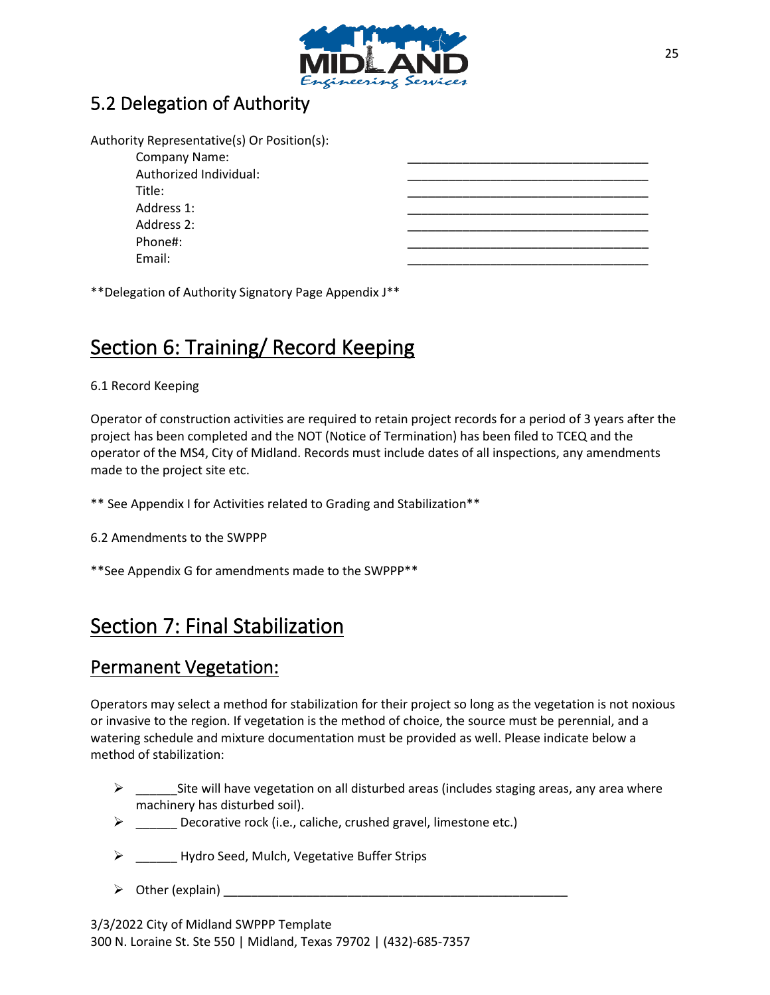

### 5.2 Delegation of Authority

| Authority Representative(s) Or Position(s): |  |
|---------------------------------------------|--|
| Company Name:                               |  |
| Authorized Individual:                      |  |
| Title:                                      |  |
| Address 1:                                  |  |
| Address 2:                                  |  |
| Phone#:                                     |  |
| Email:                                      |  |
|                                             |  |

\*\*Delegation of Authority Signatory Page Appendix J\*\*

## Section 6: Training/ Record Keeping

#### 6.1 Record Keeping

Operator of construction activities are required to retain project records for a period of 3 years after the project has been completed and the NOT (Notice of Termination) has been filed to TCEQ and the operator of the MS4, City of Midland. Records must include dates of all inspections, any amendments made to the project site etc.

- \*\* See Appendix I for Activities related to Grading and Stabilization\*\*
- 6.2 Amendments to the SWPPP
- \*\*See Appendix G for amendments made to the SWPPP\*\*

### Section 7: Final Stabilization

### Permanent Vegetation:

Operators may select a method for stabilization for their project so long as the vegetation is not noxious or invasive to the region. If vegetation is the method of choice, the source must be perennial, and a watering schedule and mixture documentation must be provided as well. Please indicate below a method of stabilization:

- $\triangleright$  Site will have vegetation on all disturbed areas (includes staging areas, any area where machinery has disturbed soil).
- ➢ \_\_\_\_\_\_ Decorative rock (i.e., caliche, crushed gravel, limestone etc.)
- ➢ \_\_\_\_\_\_ Hydro Seed, Mulch, Vegetative Buffer Strips
- ➢ Other (explain) \_\_\_\_\_\_\_\_\_\_\_\_\_\_\_\_\_\_\_\_\_\_\_\_\_\_\_\_\_\_\_\_\_\_\_\_\_\_\_\_\_\_\_\_\_\_\_\_\_\_

3/3/2022 City of Midland SWPPP Template 300 N. Loraine St. Ste 550 | Midland, Texas 79702 | (432)-685-7357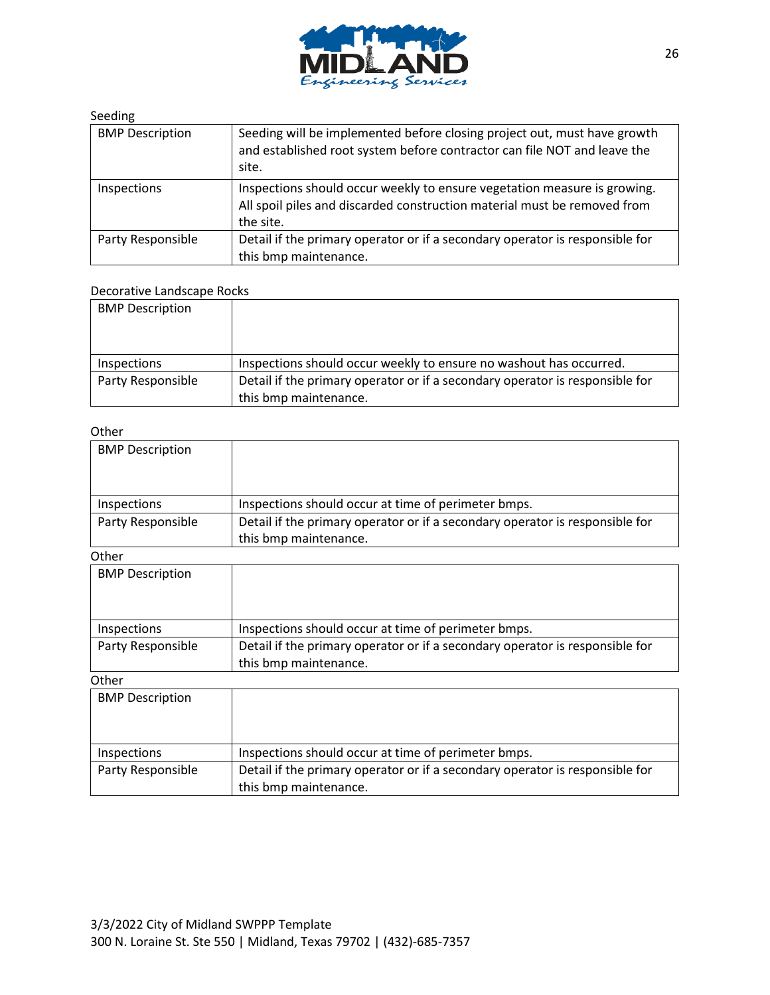

#### Seeding

| <b>BMP Description</b> | Seeding will be implemented before closing project out, must have growth<br>and established root system before contractor can file NOT and leave the<br>site.     |
|------------------------|-------------------------------------------------------------------------------------------------------------------------------------------------------------------|
| Inspections            | Inspections should occur weekly to ensure vegetation measure is growing.<br>All spoil piles and discarded construction material must be removed from<br>the site. |
| Party Responsible      | Detail if the primary operator or if a secondary operator is responsible for<br>this bmp maintenance.                                                             |

### Decorative Landscape Rocks

| <b>BMP Description</b> |                                                                                                       |
|------------------------|-------------------------------------------------------------------------------------------------------|
| Inspections            | Inspections should occur weekly to ensure no washout has occurred.                                    |
| Party Responsible      | Detail if the primary operator or if a secondary operator is responsible for<br>this bmp maintenance. |

| <b>BMP Description</b> |                                                                                                       |
|------------------------|-------------------------------------------------------------------------------------------------------|
| Inspections            | Inspections should occur at time of perimeter bmps.                                                   |
| Party Responsible      | Detail if the primary operator or if a secondary operator is responsible for<br>this bmp maintenance. |
| Other                  |                                                                                                       |
| <b>BMP Description</b> |                                                                                                       |
| Inspections            | Inspections should occur at time of perimeter bmps.                                                   |
| Party Responsible      | Detail if the primary operator or if a secondary operator is responsible for<br>this bmp maintenance. |
| Other                  |                                                                                                       |
| <b>BMP Description</b> |                                                                                                       |
| Inspections            | Inspections should occur at time of perimeter bmps.                                                   |

| <b>Inspections</b> | Inspections should occur at time of perimeter bmps.                          |
|--------------------|------------------------------------------------------------------------------|
| Party Responsible  | Detail if the primary operator or if a secondary operator is responsible for |
|                    | this bmp maintenance.                                                        |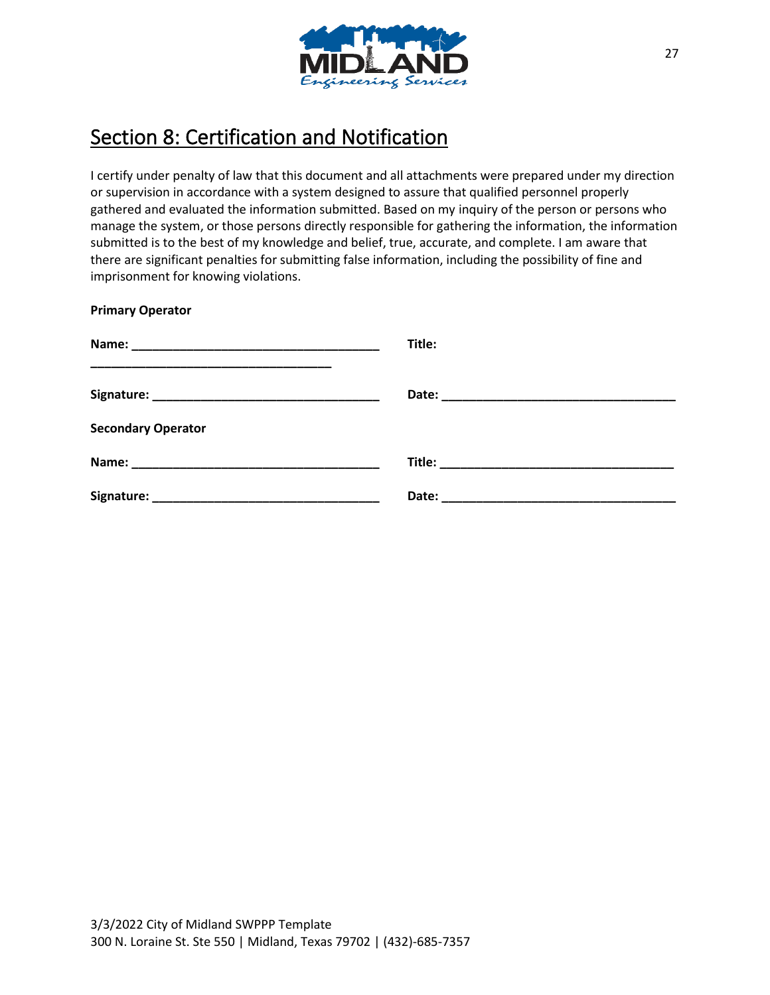

# Section 8: Certification and Notification

I certify under penalty of law that this document and all attachments were prepared under my direction or supervision in accordance with a system designed to assure that qualified personnel properly gathered and evaluated the information submitted. Based on my inquiry of the person or persons who manage the system, or those persons directly responsible for gathering the information, the information submitted is to the best of my knowledge and belief, true, accurate, and complete. I am aware that there are significant penalties for submitting false information, including the possibility of fine and imprisonment for knowing violations.

| <b>Primary Operator</b>   |        |
|---------------------------|--------|
|                           | Title: |
|                           |        |
| <b>Secondary Operator</b> |        |
|                           |        |
|                           |        |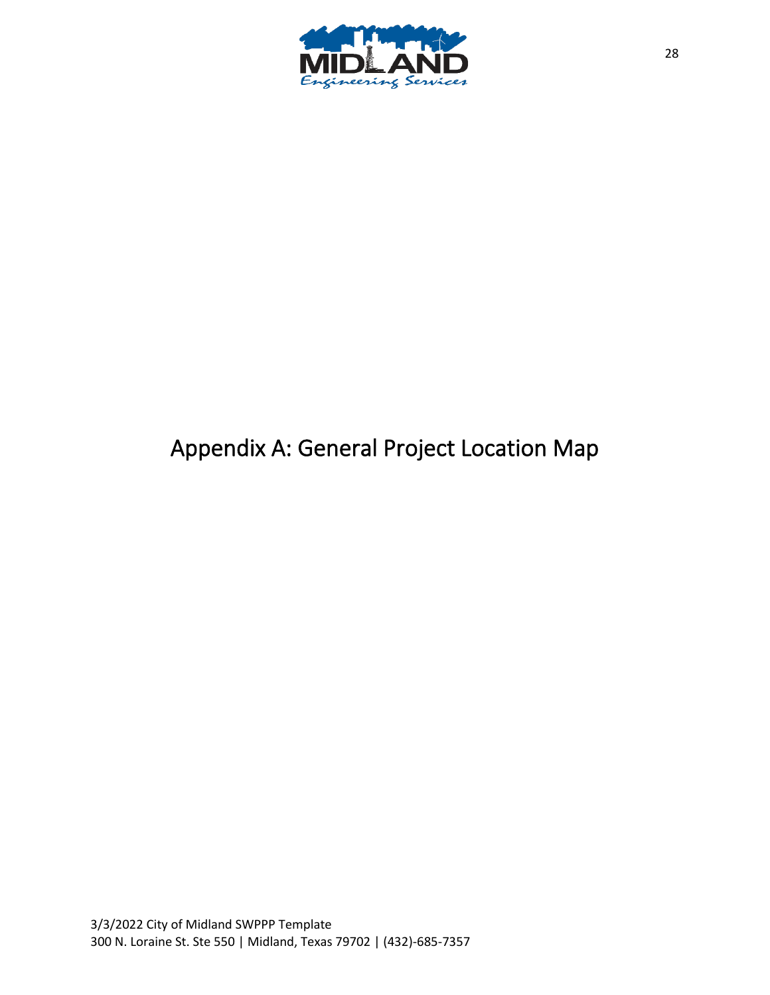

# Appendix A: General Project Location Map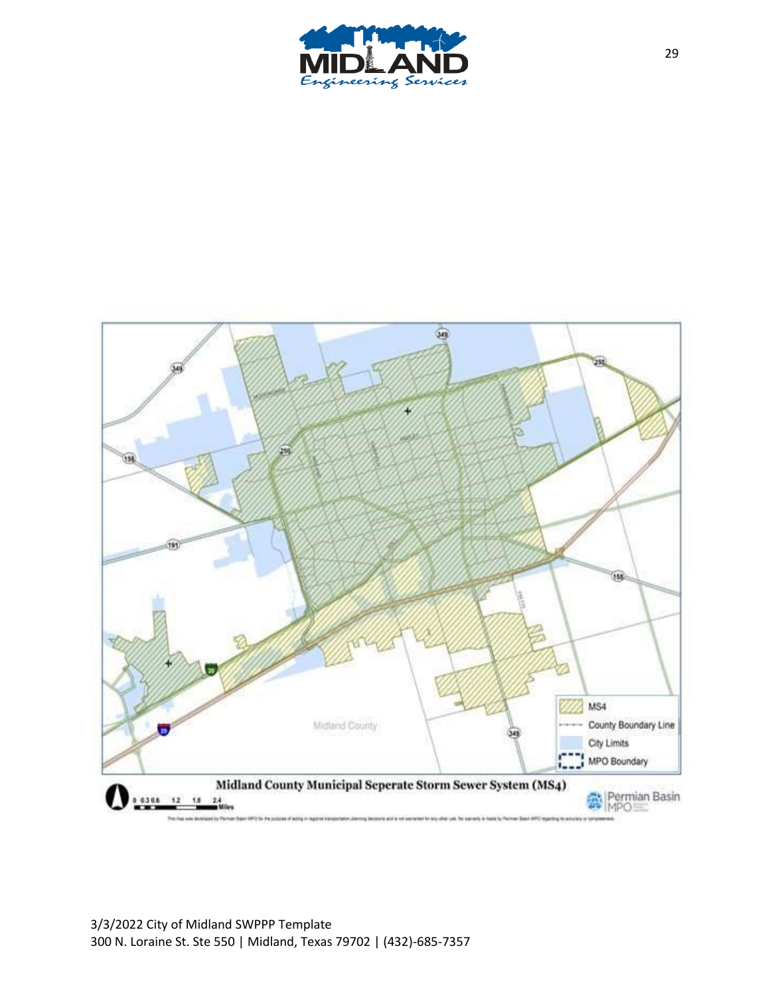

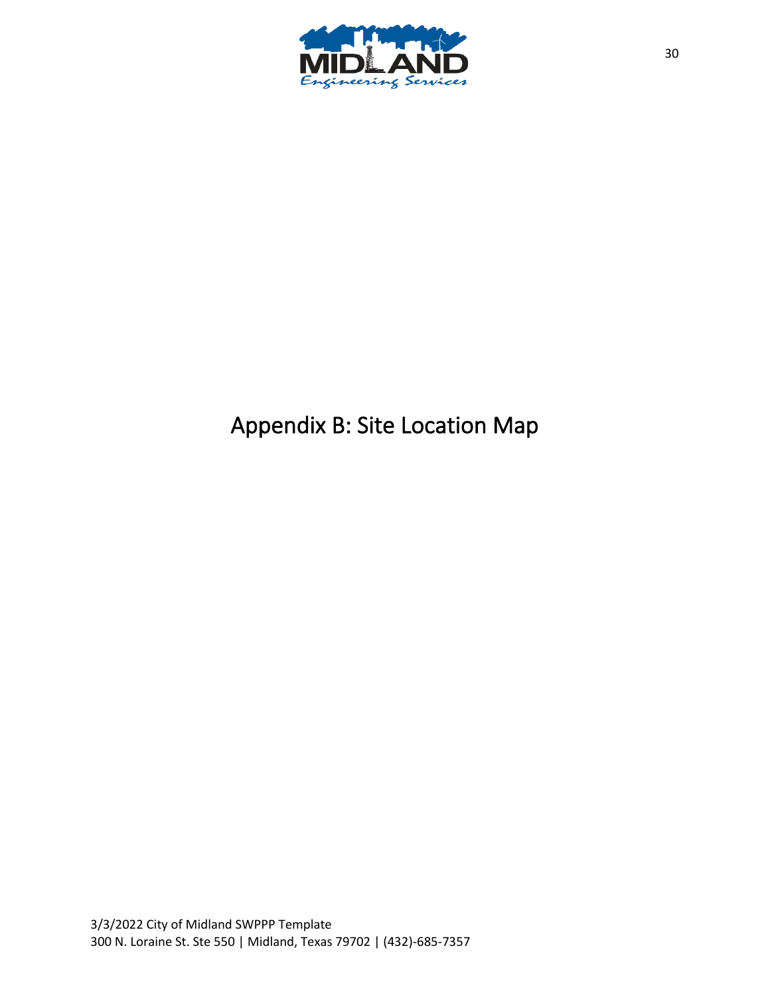

# Appendix B: Site Location Map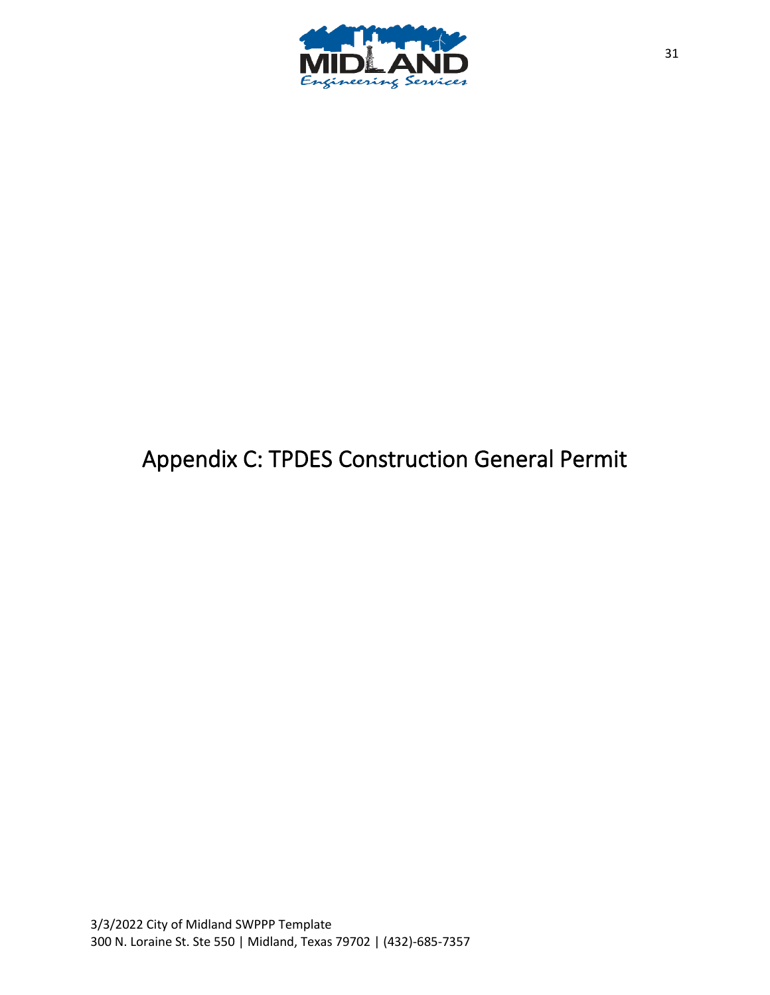

# Appendix C: TPDES Construction General Permit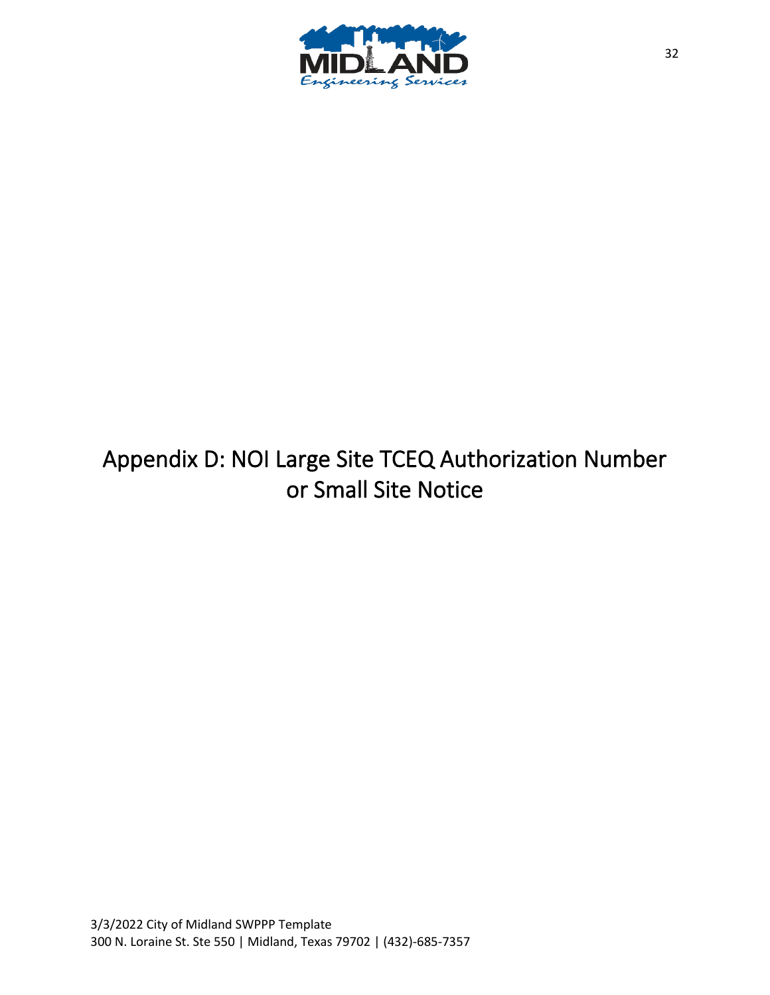

# Appendix D: NOI Large Site TCEQ Authorization Number or Small Site Notice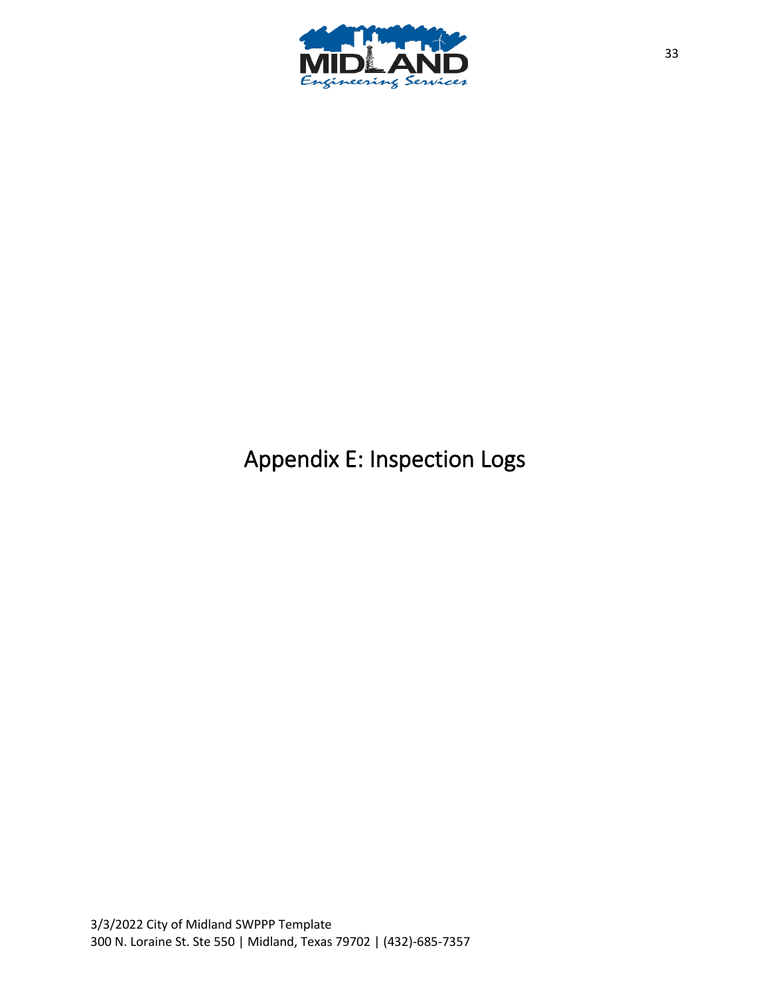

# Appendix E: Inspection Logs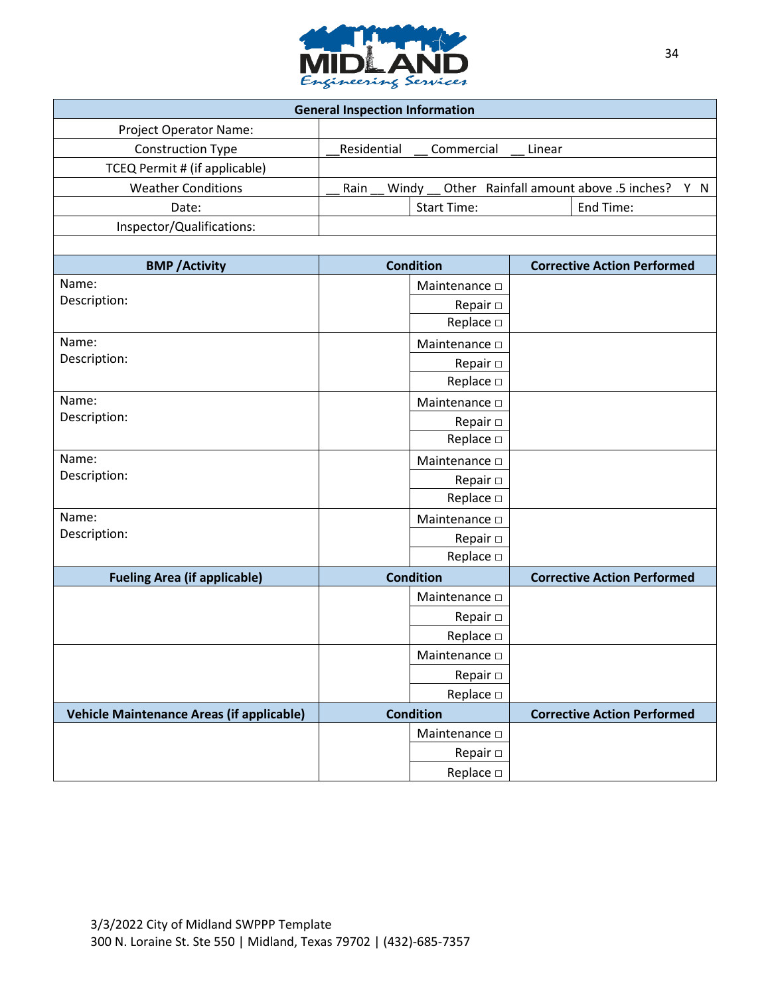

| <b>General Inspection Information</b>            |                           |                                            |  |
|--------------------------------------------------|---------------------------|--------------------------------------------|--|
| Project Operator Name:                           |                           |                                            |  |
| <b>Construction Type</b>                         | Residential<br>Commercial | Linear                                     |  |
| TCEQ Permit # (if applicable)                    |                           |                                            |  |
| <b>Weather Conditions</b>                        | Rain<br>Windy             | Other Rainfall amount above .5 inches? Y N |  |
| Date:                                            | <b>Start Time:</b>        | End Time:                                  |  |
| Inspector/Qualifications:                        |                           |                                            |  |
|                                                  |                           |                                            |  |
| <b>BMP</b> / Activity                            | <b>Condition</b>          | <b>Corrective Action Performed</b>         |  |
| Name:                                            | Maintenance D             |                                            |  |
| Description:                                     | Repair $\square$          |                                            |  |
|                                                  | Replace $\square$         |                                            |  |
| Name:                                            | Maintenance D             |                                            |  |
| Description:                                     | Repair $\square$          |                                            |  |
|                                                  | Replace $\square$         |                                            |  |
| Name:                                            | Maintenance D             |                                            |  |
| Description:                                     | Repair $\square$          |                                            |  |
|                                                  | Replace $\square$         |                                            |  |
| Name:                                            | Maintenance $\square$     |                                            |  |
| Description:                                     | Repair $\square$          |                                            |  |
|                                                  | Replace $\square$         |                                            |  |
| Name:                                            | Maintenance D             |                                            |  |
| Description:                                     | Repair $\Box$             |                                            |  |
|                                                  | Replace $\square$         |                                            |  |
| <b>Fueling Area (if applicable)</b>              | <b>Condition</b>          | <b>Corrective Action Performed</b>         |  |
|                                                  | Maintenance D             |                                            |  |
|                                                  | Repair $\square$          |                                            |  |
|                                                  | Replace $\square$         |                                            |  |
|                                                  | Maintenance D             |                                            |  |
|                                                  | Repair $\Box$             |                                            |  |
|                                                  | Replace $\square$         |                                            |  |
| <b>Vehicle Maintenance Areas (if applicable)</b> | <b>Condition</b>          | <b>Corrective Action Performed</b>         |  |
|                                                  | Maintenance D             |                                            |  |
|                                                  | Repair $\Box$             |                                            |  |
|                                                  | Replace $\square$         |                                            |  |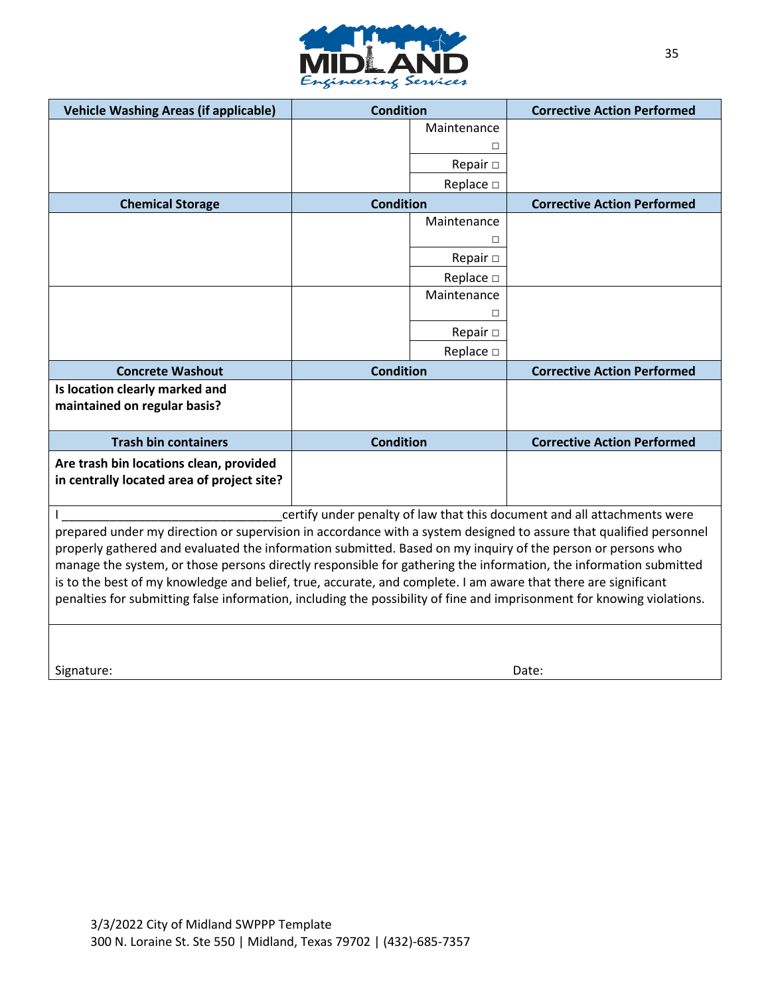

| <b>Vehicle Washing Areas (if applicable)</b>                                                                                                                                                                                                                                                                                                                                                                                                                                                                                                                                                       | <b>Condition</b> |                   | <b>Corrective Action Performed</b> |
|----------------------------------------------------------------------------------------------------------------------------------------------------------------------------------------------------------------------------------------------------------------------------------------------------------------------------------------------------------------------------------------------------------------------------------------------------------------------------------------------------------------------------------------------------------------------------------------------------|------------------|-------------------|------------------------------------|
|                                                                                                                                                                                                                                                                                                                                                                                                                                                                                                                                                                                                    |                  | Maintenance       |                                    |
|                                                                                                                                                                                                                                                                                                                                                                                                                                                                                                                                                                                                    |                  | □                 |                                    |
|                                                                                                                                                                                                                                                                                                                                                                                                                                                                                                                                                                                                    |                  | Repair $\Box$     |                                    |
|                                                                                                                                                                                                                                                                                                                                                                                                                                                                                                                                                                                                    |                  | Replace □         |                                    |
| <b>Chemical Storage</b>                                                                                                                                                                                                                                                                                                                                                                                                                                                                                                                                                                            | <b>Condition</b> |                   | <b>Corrective Action Performed</b> |
|                                                                                                                                                                                                                                                                                                                                                                                                                                                                                                                                                                                                    |                  | Maintenance       |                                    |
|                                                                                                                                                                                                                                                                                                                                                                                                                                                                                                                                                                                                    |                  | П                 |                                    |
|                                                                                                                                                                                                                                                                                                                                                                                                                                                                                                                                                                                                    |                  | Repair $\Box$     |                                    |
|                                                                                                                                                                                                                                                                                                                                                                                                                                                                                                                                                                                                    |                  | Replace □         |                                    |
|                                                                                                                                                                                                                                                                                                                                                                                                                                                                                                                                                                                                    |                  | Maintenance       |                                    |
|                                                                                                                                                                                                                                                                                                                                                                                                                                                                                                                                                                                                    |                  | П                 |                                    |
|                                                                                                                                                                                                                                                                                                                                                                                                                                                                                                                                                                                                    |                  | Repair $\Box$     |                                    |
|                                                                                                                                                                                                                                                                                                                                                                                                                                                                                                                                                                                                    |                  | Replace $\square$ |                                    |
| <b>Concrete Washout</b>                                                                                                                                                                                                                                                                                                                                                                                                                                                                                                                                                                            | <b>Condition</b> |                   | <b>Corrective Action Performed</b> |
| Is location clearly marked and<br>maintained on regular basis?                                                                                                                                                                                                                                                                                                                                                                                                                                                                                                                                     |                  |                   |                                    |
| <b>Trash bin containers</b>                                                                                                                                                                                                                                                                                                                                                                                                                                                                                                                                                                        | <b>Condition</b> |                   | <b>Corrective Action Performed</b> |
| Are trash bin locations clean, provided<br>in centrally located area of project site?                                                                                                                                                                                                                                                                                                                                                                                                                                                                                                              |                  |                   |                                    |
| certify under penalty of law that this document and all attachments were                                                                                                                                                                                                                                                                                                                                                                                                                                                                                                                           |                  |                   |                                    |
| prepared under my direction or supervision in accordance with a system designed to assure that qualified personnel<br>properly gathered and evaluated the information submitted. Based on my inquiry of the person or persons who<br>manage the system, or those persons directly responsible for gathering the information, the information submitted<br>is to the best of my knowledge and belief, true, accurate, and complete. I am aware that there are significant<br>penalties for submitting false information, including the possibility of fine and imprisonment for knowing violations. |                  |                   |                                    |
|                                                                                                                                                                                                                                                                                                                                                                                                                                                                                                                                                                                                    |                  |                   |                                    |

Signature: Date: Date: Date: Date: Date: Date: Date: Date: Date: Date: Date: Date: Date: Date: Date: Date: Date: Date: Date: Date: Date: Date: Date: Date: Date: Date: Date: Date: Date: Date: Date: Date: Date: Date: Date: D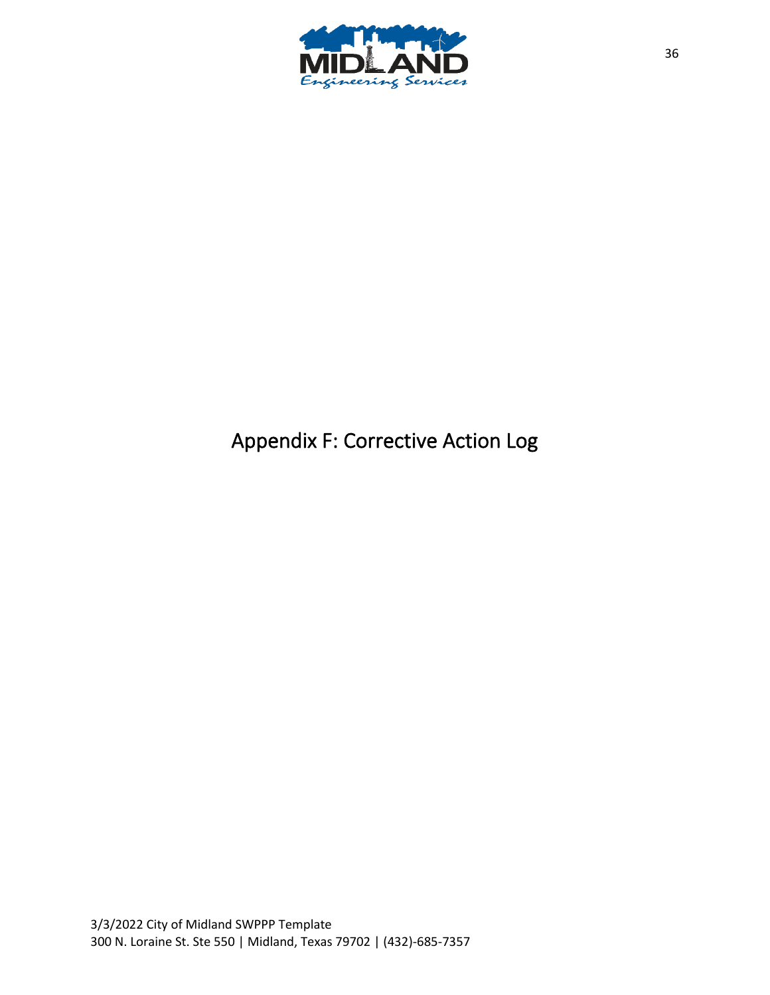

# Appendix F: Corrective Action Log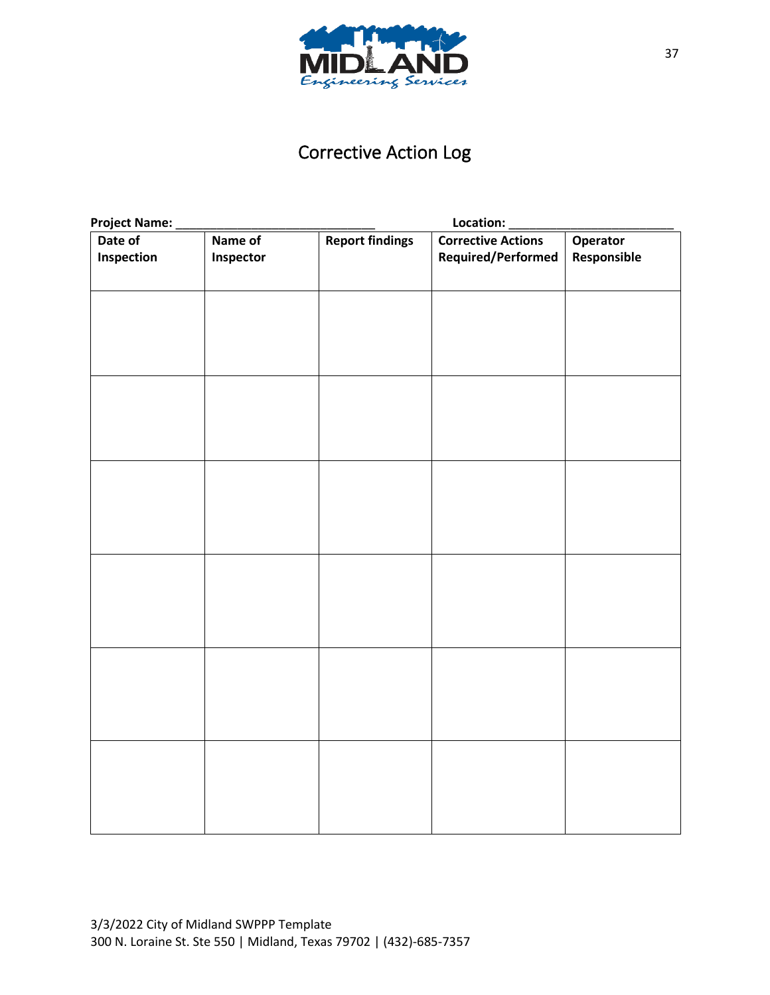

## Corrective Action Log

| <b>Project Name:</b>  | Location:            |                        |                                                 |                         |
|-----------------------|----------------------|------------------------|-------------------------------------------------|-------------------------|
| Date of<br>Inspection | Name of<br>Inspector | <b>Report findings</b> | <b>Corrective Actions</b><br>Required/Performed | Operator<br>Responsible |
|                       |                      |                        |                                                 |                         |
|                       |                      |                        |                                                 |                         |
|                       |                      |                        |                                                 |                         |
|                       |                      |                        |                                                 |                         |
|                       |                      |                        |                                                 |                         |
|                       |                      |                        |                                                 |                         |
|                       |                      |                        |                                                 |                         |
|                       |                      |                        |                                                 |                         |
|                       |                      |                        |                                                 |                         |
|                       |                      |                        |                                                 |                         |
|                       |                      |                        |                                                 |                         |
|                       |                      |                        |                                                 |                         |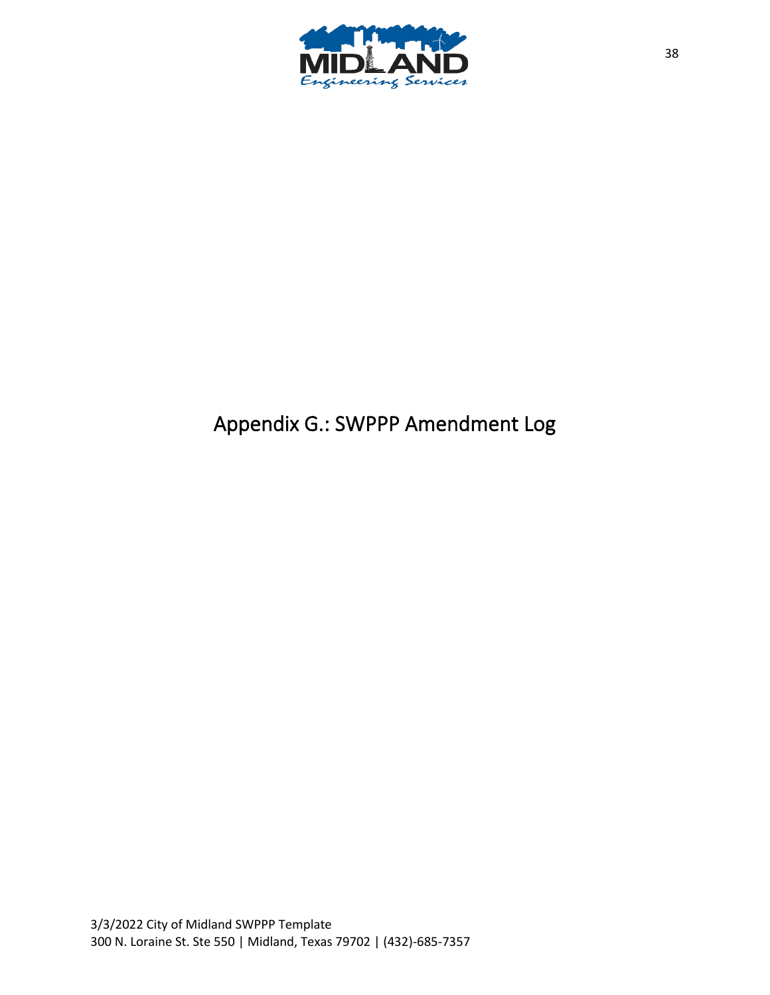

# Appendix G.: SWPPP Amendment Log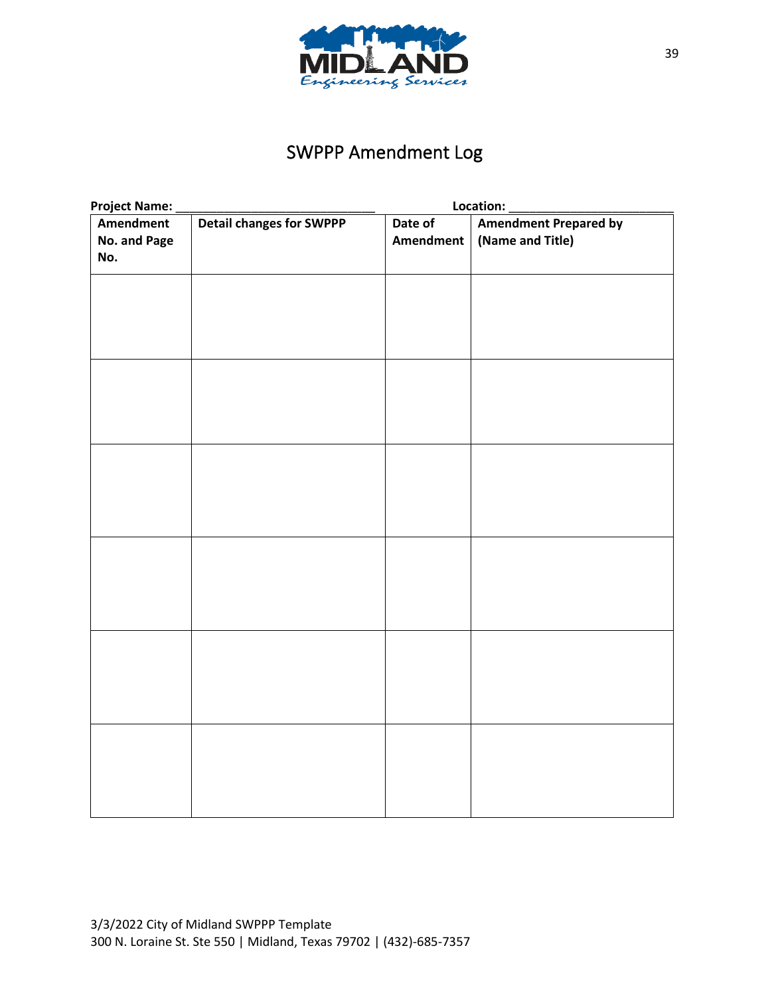

## SWPPP Amendment Log

| Project Name:                                       |  | Location:        |                              |  |
|-----------------------------------------------------|--|------------------|------------------------------|--|
| <b>Detail changes for SWPPP</b><br><b>Amendment</b> |  | Date of          | <b>Amendment Prepared by</b> |  |
| No. and Page                                        |  | <b>Amendment</b> | (Name and Title)             |  |
| No.                                                 |  |                  |                              |  |
|                                                     |  |                  |                              |  |
|                                                     |  |                  |                              |  |
|                                                     |  |                  |                              |  |
|                                                     |  |                  |                              |  |
|                                                     |  |                  |                              |  |
|                                                     |  |                  |                              |  |
|                                                     |  |                  |                              |  |
|                                                     |  |                  |                              |  |
|                                                     |  |                  |                              |  |
|                                                     |  |                  |                              |  |
|                                                     |  |                  |                              |  |
|                                                     |  |                  |                              |  |
|                                                     |  |                  |                              |  |
|                                                     |  |                  |                              |  |
|                                                     |  |                  |                              |  |
|                                                     |  |                  |                              |  |
|                                                     |  |                  |                              |  |
|                                                     |  |                  |                              |  |
|                                                     |  |                  |                              |  |
|                                                     |  |                  |                              |  |
|                                                     |  |                  |                              |  |
|                                                     |  |                  |                              |  |
|                                                     |  |                  |                              |  |
|                                                     |  |                  |                              |  |
|                                                     |  |                  |                              |  |
|                                                     |  |                  |                              |  |
|                                                     |  |                  |                              |  |
|                                                     |  |                  |                              |  |
|                                                     |  |                  |                              |  |
|                                                     |  |                  |                              |  |
|                                                     |  |                  |                              |  |
|                                                     |  |                  |                              |  |
|                                                     |  |                  |                              |  |
|                                                     |  |                  |                              |  |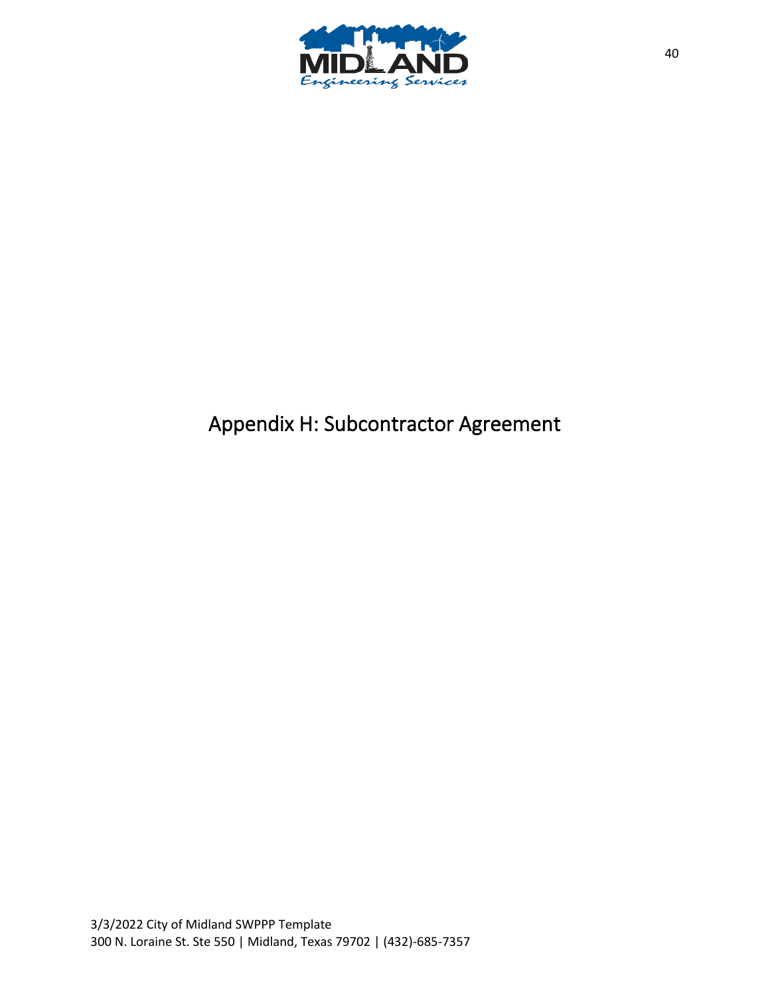

# Appendix H: Subcontractor Agreement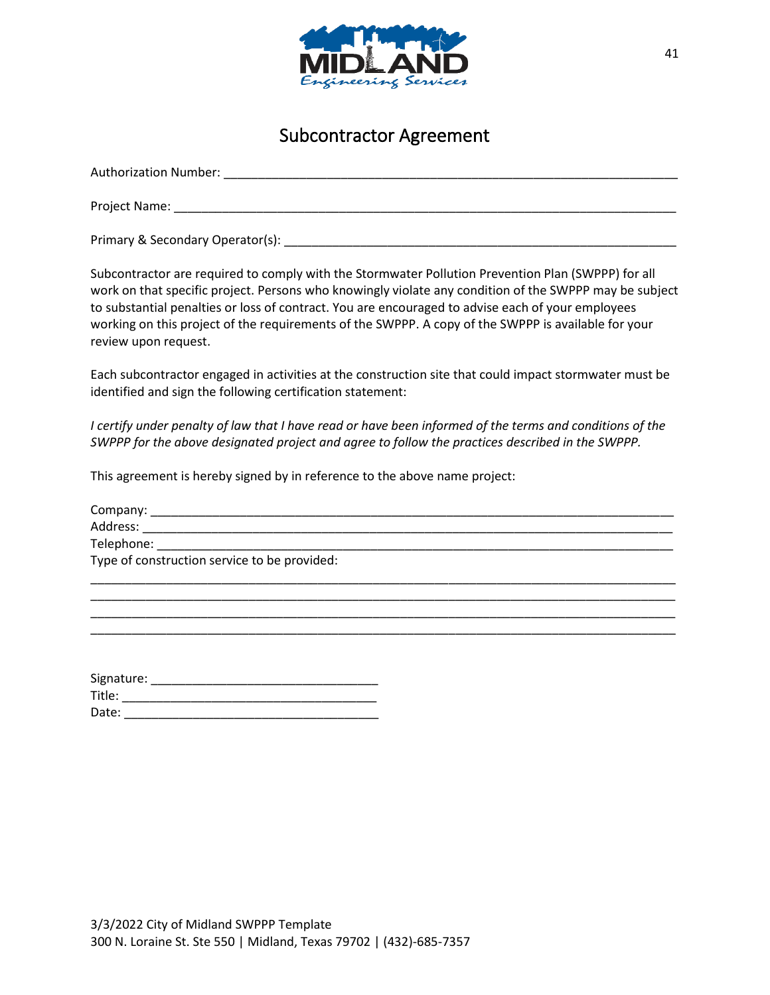

### Subcontractor Agreement

| <b>Authorization Number:</b>     |  |
|----------------------------------|--|
| Project Name:                    |  |
| Primary & Secondary Operator(s): |  |

Subcontractor are required to comply with the Stormwater Pollution Prevention Plan (SWPPP) for all work on that specific project. Persons who knowingly violate any condition of the SWPPP may be subject to substantial penalties or loss of contract. You are encouraged to advise each of your employees working on this project of the requirements of the SWPPP. A copy of the SWPPP is available for your review upon request.

Each subcontractor engaged in activities at the construction site that could impact stormwater must be identified and sign the following certification statement:

*I* certify under penalty of law that *I* have read or have been informed of the terms and conditions of the *SWPPP for the above designated project and agree to follow the practices described in the SWPPP.*

This agreement is hereby signed by in reference to the above name project:

| Company: _________________________           |  |
|----------------------------------------------|--|
| Address:                                     |  |
| Telephone: __________________________        |  |
| Type of construction service to be provided: |  |
|                                              |  |

\_\_\_\_\_\_\_\_\_\_\_\_\_\_\_\_\_\_\_\_\_\_\_\_\_\_\_\_\_\_\_\_\_\_\_\_\_\_\_\_\_\_\_\_\_\_\_\_\_\_\_\_\_\_\_\_\_\_\_\_\_\_\_\_\_\_\_\_\_\_\_\_\_\_\_\_\_\_\_\_\_\_\_\_\_ \_\_\_\_\_\_\_\_\_\_\_\_\_\_\_\_\_\_\_\_\_\_\_\_\_\_\_\_\_\_\_\_\_\_\_\_\_\_\_\_\_\_\_\_\_\_\_\_\_\_\_\_\_\_\_\_\_\_\_\_\_\_\_\_\_\_\_\_\_\_\_\_\_\_\_\_\_\_\_\_\_\_\_\_\_

| Signature: |  |
|------------|--|
| Title:     |  |
| Date:      |  |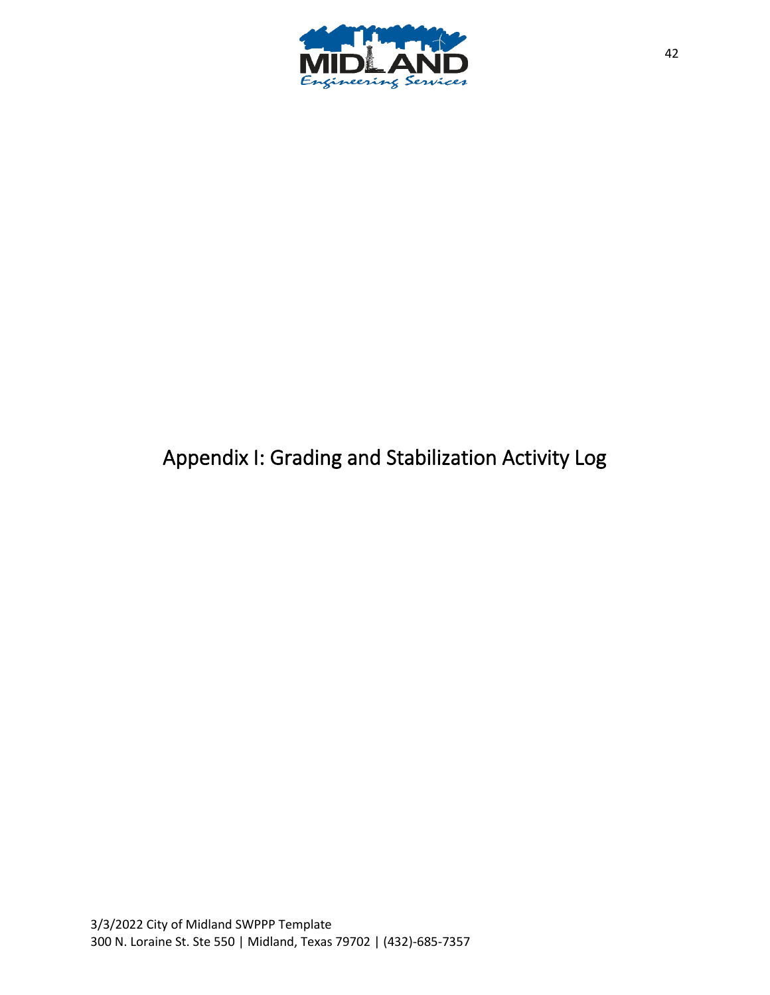

# Appendix I: Grading and Stabilization Activity Log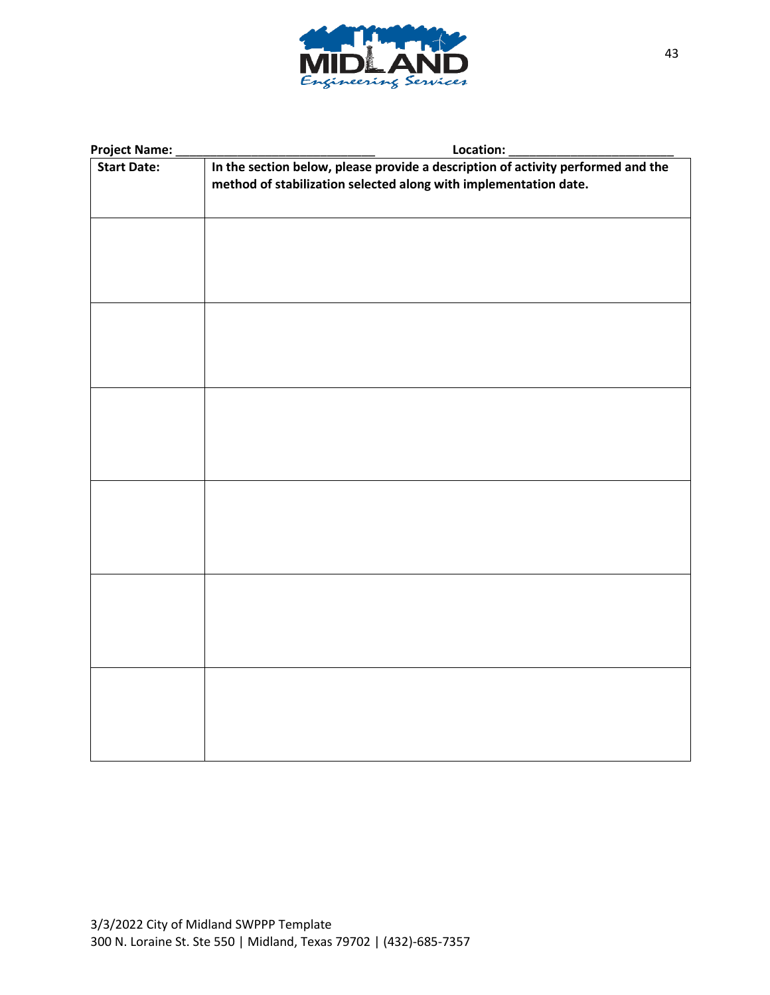

| <b>Project Name:</b> | Location:                                                                                                                                            |  |  |
|----------------------|------------------------------------------------------------------------------------------------------------------------------------------------------|--|--|
| <b>Start Date:</b>   | In the section below, please provide a description of activity performed and the<br>method of stabilization selected along with implementation date. |  |  |
|                      |                                                                                                                                                      |  |  |
|                      |                                                                                                                                                      |  |  |
|                      |                                                                                                                                                      |  |  |
|                      |                                                                                                                                                      |  |  |
|                      |                                                                                                                                                      |  |  |
|                      |                                                                                                                                                      |  |  |
|                      |                                                                                                                                                      |  |  |
|                      |                                                                                                                                                      |  |  |
|                      |                                                                                                                                                      |  |  |
|                      |                                                                                                                                                      |  |  |
|                      |                                                                                                                                                      |  |  |
|                      |                                                                                                                                                      |  |  |
|                      |                                                                                                                                                      |  |  |
|                      |                                                                                                                                                      |  |  |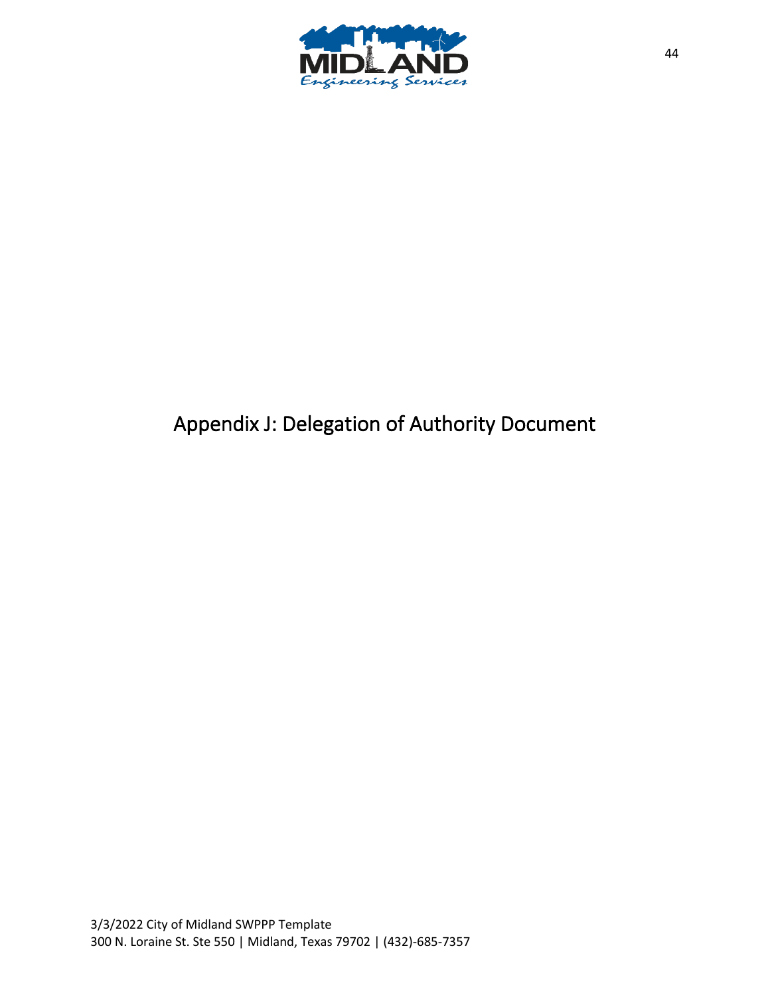

# Appendix J: Delegation of Authority Document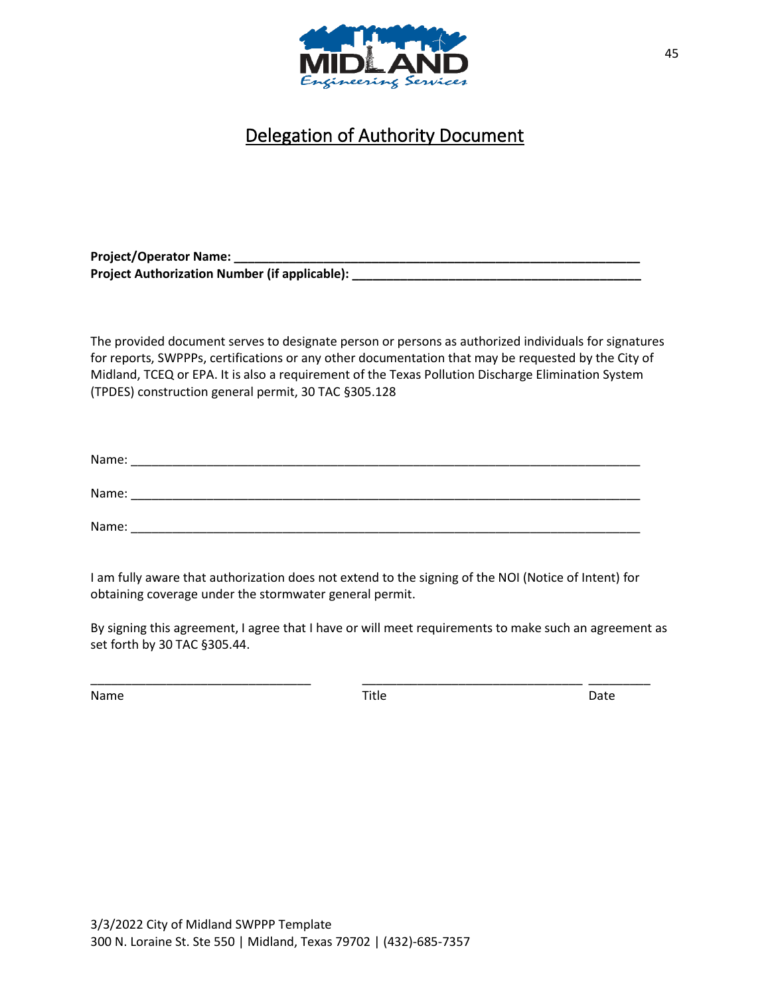

### Delegation of Authority Document

Project/Operator Name: Project Authorization Number (if applicable): \_\_\_\_\_\_\_\_

The provided document serves to designate person or persons as authorized individuals for signatures for reports, SWPPPs, certifications or any other documentation that may be requested by the City of Midland, TCEQ or EPA. It is also a requirement of the Texas Pollution Discharge Elimination System (TPDES) construction general permit, 30 TAC §305.128

| Name: |  |  |
|-------|--|--|
|       |  |  |
| Name: |  |  |
|       |  |  |
| Name: |  |  |

I am fully aware that authorization does not extend to the signing of the NOI (Notice of Intent) for obtaining coverage under the stormwater general permit.

By signing this agreement, I agree that I have or will meet requirements to make such an agreement as set forth by 30 TAC §305.44.

Name Date Date Controller and Title Controller and Date Date Date

\_\_\_\_\_\_\_\_\_\_\_\_\_\_\_\_\_\_\_\_\_\_\_\_\_\_\_\_\_\_\_\_ \_\_\_\_\_\_\_\_\_\_\_\_\_\_\_\_\_\_\_\_\_\_\_\_\_\_\_\_\_\_\_\_ \_\_\_\_\_\_\_\_\_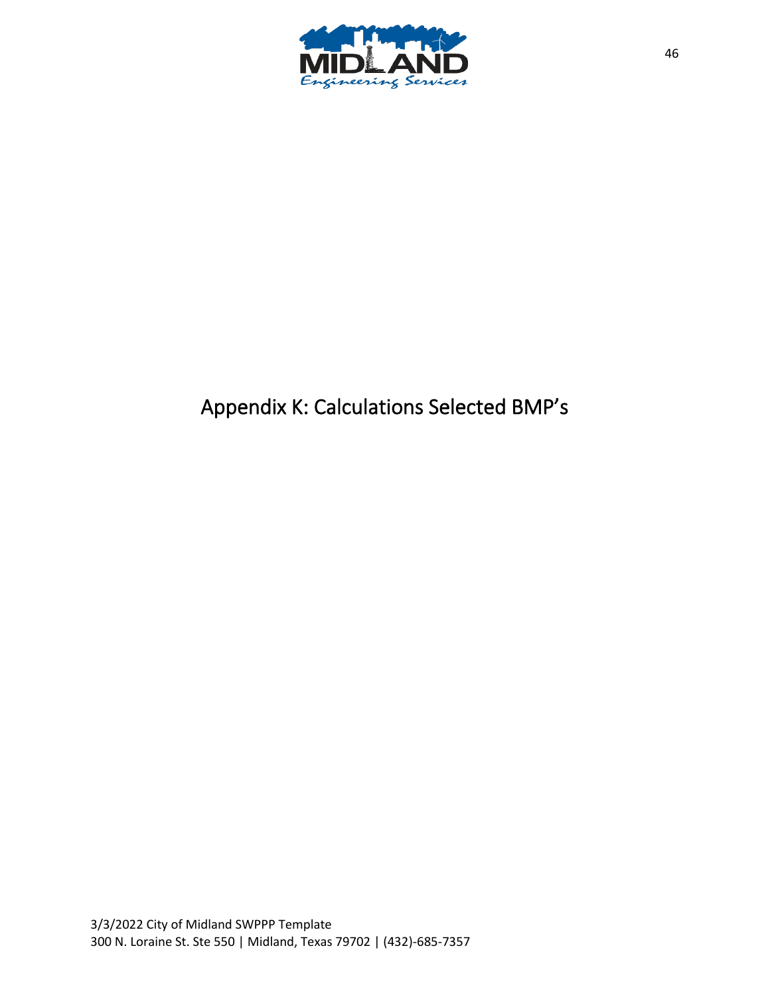

# Appendix K: Calculations Selected BMP's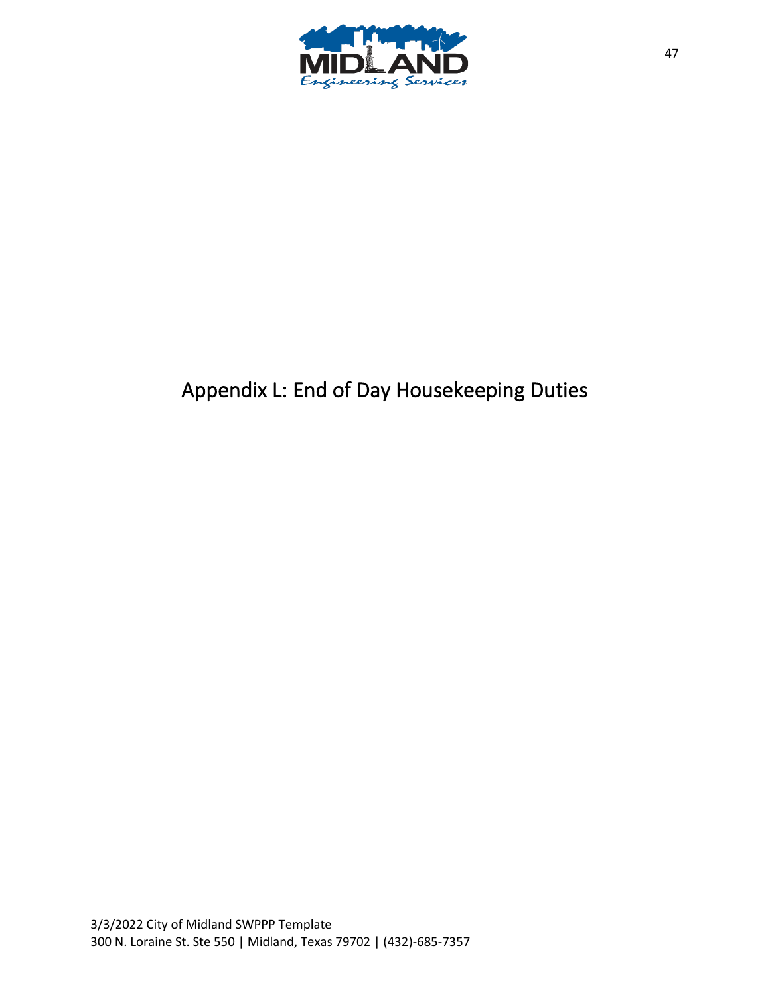

# Appendix L: End of Day Housekeeping Duties